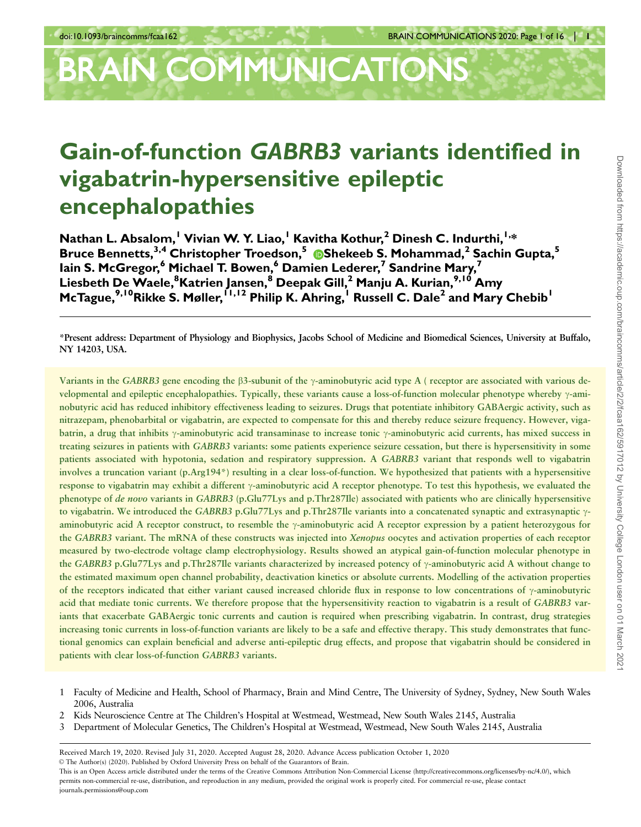# **BRAIN COMMUNICATIONS**

## Gain-of-function GABRB3 variants identified in vigabatrin-hypersensitive epileptic encephalopathies

Nathan L. Absalom,<sup>1</sup> Vivian W. Y. Liao,<sup>1</sup> Kavitha Kothur,<sup>2</sup> Dinesh C. Indurthi,<sup>1,\*</sup> Bruce Bennetts,<sup>3,4</sup> Christopher Troedson,<sup>5</sup> 
Shekeeb S. Mohammad,<sup>2</sup> Sachin Gupta,<sup>5</sup> Iain S. McGregor,<sup>6</sup> Michael T. Bowen,<sup>6</sup> Damien Lederer,<sup>7</sup> Sandrine Mary,<sup>7</sup> Liesbeth De Waele, $^8$ Katrien Jansen, $^8$  Deepak Gill, $^2$  Manju A. Kurian, $^{9,1\dot 0}$  Amy McTague,<sup>9,10</sup>Rikke S. Møller, <sup>I 1,12</sup> Philip K. Ahring, <sup>I</sup> Russell C. Dale<sup>2</sup> and Mary Chebib<sup>1</sup>

\*Present address: Department of Physiology and Biophysics, Jacobs School of Medicine and Biomedical Sciences, University at Buffalo, NY 14203, USA.

Variants in the GABRB3 gene encoding the  $\beta$ 3-subunit of the  $\gamma$ -aminobutyric acid type A ( receptor are associated with various developmental and epileptic encephalopathies. Typically, these variants cause a loss-of-function molecular phenotype whereby  $\gamma$ -aminobutyric acid has reduced inhibitory effectiveness leading to seizures. Drugs that potentiate inhibitory GABAergic activity, such as nitrazepam, phenobarbital or vigabatrin, are expected to compensate for this and thereby reduce seizure frequency. However, vigabatrin, a drug that inhibits  $\gamma$ -aminobutyric acid transaminase to increase tonic  $\gamma$ -aminobutyric acid currents, has mixed success in treating seizures in patients with GABRB3 variants: some patients experience seizure cessation, but there is hypersensitivity in some patients associated with hypotonia, sedation and respiratory suppression. A GABRB3 variant that responds well to vigabatrin involves a truncation variant (p.Arg194\*) resulting in a clear loss-of-function. We hypothesized that patients with a hypersensitive response to vigabatrin may exhibit a different  $\gamma$ -aminobutyric acid A receptor phenotype. To test this hypothesis, we evaluated the phenotype of de novo variants in GABRB3 (p.Glu77Lys and p.Thr287Ile) associated with patients who are clinically hypersensitive to vigabatrin. We introduced the GABRB3 p.Glu77Lys and p.Thr287Ile variants into a concatenated synaptic and extrasynaptic  $\gamma$ aminobutyric acid A receptor construct, to resemble the  $\gamma$ -aminobutyric acid A receptor expression by a patient heterozygous for the GABRB3 variant. The mRNA of these constructs was injected into Xenopus oocytes and activation properties of each receptor measured by two-electrode voltage clamp electrophysiology. Results showed an atypical gain-of-function molecular phenotype in the GABRB3 p.Glu77Lys and p.Thr287Ile variants characterized by increased potency of  $\gamma$ -aminobutyric acid A without change to the estimated maximum open channel probability, deactivation kinetics or absolute currents. Modelling of the activation properties of the receptors indicated that either variant caused increased chloride flux in response to low concentrations of  $\gamma$ -aminobutyric acid that mediate tonic currents. We therefore propose that the hypersensitivity reaction to vigabatrin is a result of GABRB3 variants that exacerbate GABAergic tonic currents and caution is required when prescribing vigabatrin. In contrast, drug strategies increasing tonic currents in loss-of-function variants are likely to be a safe and effective therapy. This study demonstrates that functional genomics can explain beneficial and adverse anti-epileptic drug effects, and propose that vigabatrin should be considered in patients with clear loss-of-function GABRB3 variants.

- 1 Faculty of Medicine and Health, School of Pharmacy, Brain and Mind Centre, The University of Sydney, Sydney, New South Wales 2006, Australia
- 2 Kids Neuroscience Centre at The Children's Hospital at Westmead, Westmead, New South Wales 2145, Australia
- 3 Department of Molecular Genetics, The Children's Hospital at Westmead, Westmead, New South Wales 2145, Australia

V<sup>C</sup> The Author(s) (2020). Published by Oxford University Press on behalf of the Guarantors of Brain.

Received March 19, 2020. Revised July 31, 2020. Accepted August 28, 2020. Advance Access publication October 1, 2020

This is an Open Access article distributed under the terms of the Creative Commons Attribution Non-Commercial License (http://creativecommons.org/licenses/by-nc/4.0/), which permits non-commercial re-use, distribution, and reproduction in any medium, provided the original work is properly cited. For commercial re-use, please contact journals.permissions@oup.com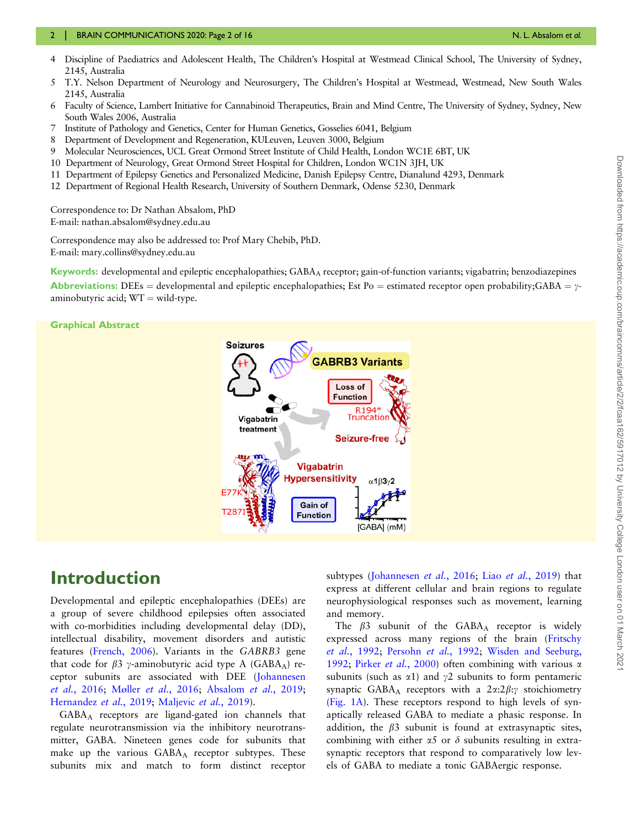#### 2 | BRAIN COMMUNICATIONS 2020: Page 2 of 16 New York Communication of the Communication of the Communication of the Communication of the Communication of the Communication of the Communication of the Communication of the C

- 4 Discipline of Paediatrics and Adolescent Health, The Children's Hospital at Westmead Clinical School, The University of Sydney, 2145, Australia
- 5 T.Y. Nelson Department of Neurology and Neurosurgery, The Children's Hospital at Westmead, Westmead, New South Wales 2145, Australia
- 6 Faculty of Science, Lambert Initiative for Cannabinoid Therapeutics, Brain and Mind Centre, The University of Sydney, Sydney, New South Wales 2006, Australia
- 7 Institute of Pathology and Genetics, Center for Human Genetics, Gosselies 6041, Belgium
- 8 Department of Development and Regeneration, KULeuven, Leuven 3000, Belgium
- 9 Molecular Neurosciences, UCL Great Ormond Street Institute of Child Health, London WC1E 6BT, UK
- 10 Department of Neurology, Great Ormond Street Hospital for Children, London WC1N 3JH, UK
- 11 Department of Epilepsy Genetics and Personalized Medicine, Danish Epilepsy Centre, Dianalund 4293, Denmark
- 12 Department of Regional Health Research, University of Southern Denmark, Odense 5230, Denmark

Correspondence to: Dr Nathan Absalom, PhD E-mail: nathan.absalom@sydney.edu.au

Correspondence may also be addressed to: Prof Mary Chebib, PhD. E-mail: mary.collins@sydney.edu.au

Keywords: developmental and epileptic encephalopathies; GABAA receptor; gain-of-function variants; vigabatrin; benzodiazepines Abbreviations: DEEs = developmental and epileptic encephalopathies; Est Po = estimated receptor open probability;GABA =  $\gamma$ aminobutyric acid:  $WT = wild$ -type.

#### Graphical Abstract



## Introduction

Developmental and epileptic encephalopathies (DEEs) are a group of severe childhood epilepsies often associated with co-morbidities including developmental delay (DD), intellectual disability, movement disorders and autistic features ([French, 2006\)](#page-14-0). Variants in the GABRB3 gene that code for  $\beta$ 3 y-aminobutyric acid type A (GABA<sub>A</sub>) receptor subunits are associated with DEE [\(Johannesen](#page-14-0) et al.[, 2016;](#page-14-0) [M](#page-15-0)øller et al.[, 2016](#page-15-0); [Absalom](#page-14-0) et al., 2019; [Hernandez](#page-14-0) et al., 2019; [Maljevic](#page-15-0) et al., 2019).

GABAA receptors are ligand-gated ion channels that regulate neurotransmission via the inhibitory neurotransmitter, GABA. Nineteen genes code for subunits that make up the various  $GABA_A$  receptor subtypes. These subunits mix and match to form distinct receptor

subtypes [\(Johannesen](#page-14-0) et al., 2016; Liao et al.[, 2019\)](#page-14-0) that express at different cellular and brain regions to regulate neurophysiological responses such as movement, learning and memory.

The  $\beta$ 3 subunit of the GABA<sub>A</sub> receptor is widely expressed across many regions of the brain ([Fritschy](#page-14-0) et al.[, 1992;](#page-14-0) [Persohn](#page-15-0) et al., 1992; [Wisden and Seeburg,](#page-15-0) [1992](#page-15-0); Pirker et al.[, 2000\)](#page-15-0) often combining with various  $\alpha$ subunits (such as  $\alpha$ 1) and  $\gamma$ 2 subunits to form pentameric synaptic GABA<sub>A</sub> receptors with a  $2\alpha:2\beta:\gamma$  stoichiometry [\(Fig. 1A](#page-2-0)). These receptors respond to high levels of synaptically released GABA to mediate a phasic response. In addition, the  $\beta$ 3 subunit is found at extrasynaptic sites, combining with either  $\alpha$ 5 or  $\delta$  subunits resulting in extrasynaptic receptors that respond to comparatively low levels of GABA to mediate a tonic GABAergic response.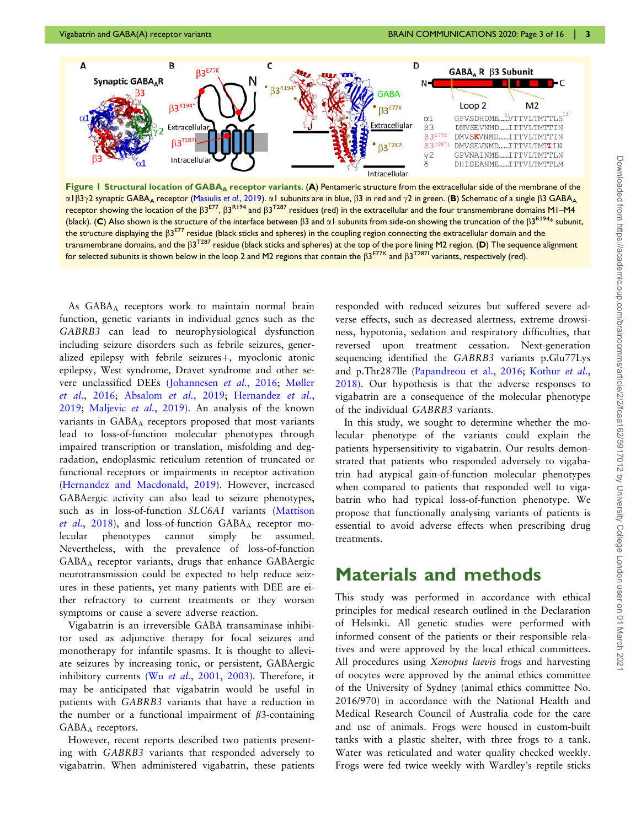<span id="page-2-0"></span>

Figure 1 Structural location of GABA<sub>A</sub> receptor variants. (A) Pentameric structure from the extracellular side of the membrane of the  $\alpha$ 1 $\beta$ 3 $\gamma$ 2 synaptic GABA<sub>A</sub> receptor ([Masiulis](#page-15-0) et al., 2019).  $\alpha$ 1 subunits are in blue,  $\beta$ 3 in red and  $\gamma$ 2 in green. (B) Schematic of a single  $\beta$ 3 GABA<sub>A</sub> receptor showing the location of the  $\beta 3^{E77}$ ,  $\beta 3^{R194}$  and  $\beta 3^{T287}$  residues (red) in the extracellular and the four transmembrane domains M1–M4 (black). (C) Also shown is the structure of the interface between  $\beta$ 3 and  $\alpha$ 1 subunits from side-on showing the truncation of the  $\beta$ 3<sup>R194\*</sup> subunit, the structure displaying the  $\beta 3^{E77}$  residue (black sticks and spheres) in the coupling region connecting the extracellular domain and the transmembrane domains, and the  $\beta$ 3<sup>T287</sup> residue (black sticks and spheres) at the top of the pore lining M2 region. (D) The sequence alignment for selected subunits is shown below in the loop 2 and M2 regions that contain the  $\beta 3^{E77K}$  and  $\beta 3^{T287I}$  variants, respectively (red).

As GABAA receptors work to maintain normal brain function, genetic variants in individual genes such as the GABRB3 can lead to neurophysiological dysfunction including seizure disorders such as febrile seizures, generalized epilepsy with febrile seizures $+$ , myoclonic atonic epilepsy, West syndrome, Dravet syndrome and other severe unclassified DEEs ([Johannesen](#page-14-0) et al., 2016; [M](#page-15-0)ø[ller](#page-15-0) et al.[, 2016](#page-15-0); [Absalom](#page-14-0) et al., 2019; [Hernandez](#page-14-0) et al., [2019;](#page-14-0) [Maljevic](#page-15-0) et al., 2019). An analysis of the known variants in GABA<sub>A</sub> receptors proposed that most variants lead to loss-of-function molecular phenotypes through impaired transcription or translation, misfolding and degradation, endoplasmic reticulum retention of truncated or functional receptors or impairments in receptor activation ([Hernandez and Macdonald, 2019](#page-14-0)). However, increased GABAergic activity can also lead to seizure phenotypes, such as in loss-of-function SLC6A1 variants [\(Mattison](#page-15-0) et al.[, 2018](#page-15-0)), and loss-of-function  $GABA_A$  receptor molecular phenotypes cannot simply be assumed. Nevertheless, with the prevalence of loss-of-function GABAA receptor variants, drugs that enhance GABAergic neurotransmission could be expected to help reduce seizures in these patients, yet many patients with DEE are either refractory to current treatments or they worsen symptoms or cause a severe adverse reaction.

Vigabatrin is an irreversible GABA transaminase inhibitor used as adjunctive therapy for focal seizures and monotherapy for infantile spasms. It is thought to alleviate seizures by increasing tonic, or persistent, GABAergic inhibitory currents (Wu et al.[, 2001](#page-15-0), [2003](#page-15-0)). Therefore, it may be anticipated that vigabatrin would be useful in patients with GABRB3 variants that have a reduction in the number or a functional impairment of  $\beta$ 3-containing  $GABA_A$  receptors.

However, recent reports described two patients presenting with GABRB3 variants that responded adversely to vigabatrin. When administered vigabatrin, these patients responded with reduced seizures but suffered severe adverse effects, such as decreased alertness, extreme drowsiness, hypotonia, sedation and respiratory difficulties, that reversed upon treatment cessation. Next-generation sequencing identified the GABRB3 variants p.Glu77Lys and p.Thr287Ile [\(Papandreou et al., 2016](#page-15-0); [Kothur](#page-14-0) et al., [2018\)](#page-14-0). Our hypothesis is that the adverse responses to vigabatrin are a consequence of the molecular phenotype of the individual GABRB3 variants.

In this study, we sought to determine whether the molecular phenotype of the variants could explain the patients hypersensitivity to vigabatrin. Our results demonstrated that patients who responded adversely to vigabatrin had atypical gain-of-function molecular phenotypes when compared to patients that responded well to vigabatrin who had typical loss-of-function phenotype. We propose that functionally analysing variants of patients is essential to avoid adverse effects when prescribing drug treatments.

## Materials and methods

This study was performed in accordance with ethical principles for medical research outlined in the Declaration of Helsinki. All genetic studies were performed with informed consent of the patients or their responsible relatives and were approved by the local ethical committees. All procedures using Xenopus laevis frogs and harvesting of oocytes were approved by the animal ethics committee of the University of Sydney (animal ethics committee No. 2016/970) in accordance with the National Health and Medical Research Council of Australia code for the care and use of animals. Frogs were housed in custom-built tanks with a plastic shelter, with three frogs to a tank. Water was reticulated and water quality checked weekly. Frogs were fed twice weekly with Wardley's reptile sticks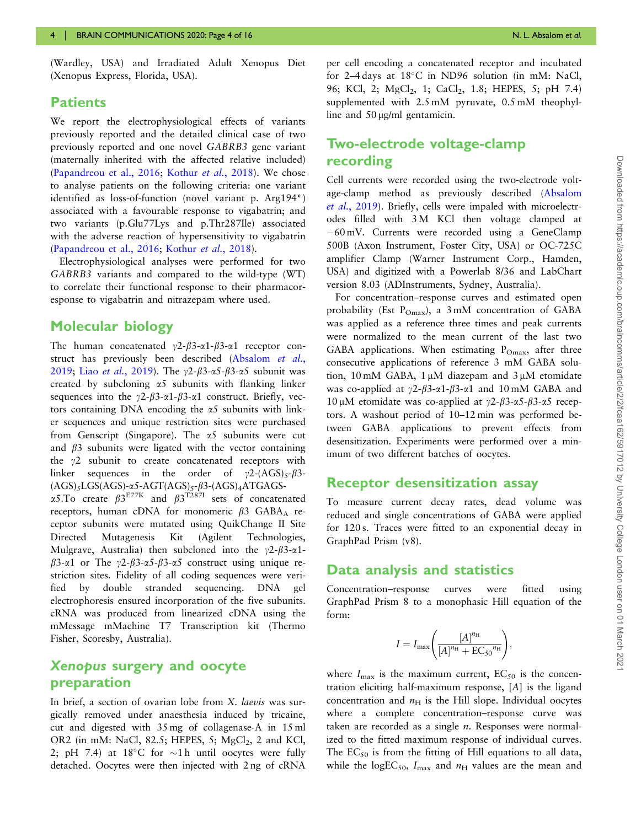(Wardley, USA) and Irradiated Adult Xenopus Diet (Xenopus Express, Florida, USA).

#### **Patients**

We report the electrophysiological effects of variants previously reported and the detailed clinical case of two previously reported and one novel GABRB3 gene variant (maternally inherited with the affected relative included) [\(Papandreou et al., 2016](#page-15-0); [Kothur](#page-14-0) et al., 2018). We chose to analyse patients on the following criteria: one variant identified as loss-of-function (novel variant p. Arg194\*) associated with a favourable response to vigabatrin; and two variants (p.Glu77Lys and p.Thr287Ile) associated with the adverse reaction of hypersensitivity to vigabatrin [\(Papandreou et al., 2016](#page-15-0); [Kothur](#page-14-0) et al., 2018).

Electrophysiological analyses were performed for two GABRB3 variants and compared to the wild-type (WT) to correlate their functional response to their pharmacoresponse to vigabatrin and nitrazepam where used.

#### Molecular biology

The human concatenated  $\gamma$ 2- $\beta$ 3- $\alpha$ 1- $\beta$ 3- $\alpha$ 1 receptor con-struct has previously been described [\(Absalom](#page-14-0) et al., [2019](#page-14-0); Liao et al.[, 2019](#page-14-0)). The  $\gamma$ 2- $\beta$ 3- $\alpha$ 5- $\beta$ 3- $\alpha$ 5 subunit was created by subcloning  $\alpha$ 5 subunits with flanking linker sequences into the  $\gamma$ 2- $\beta$ 3- $\alpha$ 1- $\beta$ 3- $\alpha$ 1 construct. Briefly, vectors containing DNA encoding the  $\alpha$ 5 subunits with linker sequences and unique restriction sites were purchased from Genscript (Singapore). The  $\alpha$ 5 subunits were cut and  $\beta$ 3 subunits were ligated with the vector containing the  $\gamma$ 2 subunit to create concatenated receptors with linker sequences in the order of  $\gamma$ 2-(AGS)<sub>5</sub>- $\beta$ 3- $(AGS)_{5}LGS(AGS)-\alpha 5-AGT(AGS)_{5}-\beta 3-(AGS)_{4}ATGAGS-$ 

 $\alpha$ 5.To create  $\beta$ 3<sup>E77K</sup> and  $\beta$ 3<sup>T287I</sup> sets of concatenated receptors, human cDNA for monomeric  $\beta$ 3 GABA<sub>A</sub> receptor subunits were mutated using QuikChange II Site Directed Mutagenesis Kit (Agilent Technologies, Mulgrave, Australia) then subcloned into the  $\gamma$ 2- $\beta$ 3- $\alpha$ 1- $\beta$ 3- $\alpha$ 1 or The  $\gamma$ 2- $\beta$ 3- $\alpha$ 5- $\beta$ 3- $\alpha$ 5 construct using unique restriction sites. Fidelity of all coding sequences were verified by double stranded sequencing. DNA gel electrophoresis ensured incorporation of the five subunits. cRNA was produced from linearized cDNA using the mMessage mMachine T7 Transcription kit (Thermo Fisher, Scoresby, Australia).

#### Xenopus surgery and oocyte preparation

In brief, a section of ovarian lobe from X. laevis was surgically removed under anaesthesia induced by tricaine, cut and digested with 35 mg of collagenase-A in 15 ml OR2 (in mM: NaCl, 82.5; HEPES, 5;  $MgCl<sub>2</sub>$ , 2 and KCl, 2; pH 7.4) at  $18^{\circ}$ C for  $\sim$ 1h until oocytes were fully detached. Oocytes were then injected with 2 ng of cRNA

per cell encoding a concatenated receptor and incubated for 2-4 days at 18°C in ND96 solution (in mM: NaCl, 96; KCl, 2; MgCl<sub>2</sub>, 1; CaCl<sub>2</sub>, 1.8; HEPES, 5; pH 7.4) supplemented with 2.5 mM pyruvate, 0.5 mM theophylline and  $50 \mu g/ml$  gentamicin.

## Two-electrode voltage-clamp recording

Cell currents were recorded using the two-electrode voltage-clamp method as previously described ([Absalom](#page-14-0) et al.[, 2019](#page-14-0)). Briefly, cells were impaled with microelectrodes filled with 3 M KCl then voltage clamped at 60 mV. Currents were recorded using a GeneClamp 500B (Axon Instrument, Foster City, USA) or OC-725C amplifier Clamp (Warner Instrument Corp., Hamden, USA) and digitized with a Powerlab 8/36 and LabChart version 8.03 (ADInstruments, Sydney, Australia).

For concentration–response curves and estimated open probability (Est  $P_{\text{Omax}}$ ), a 3 mM concentration of GABA was applied as a reference three times and peak currents were normalized to the mean current of the last two GABA applications. When estimating  $P_{Omax}$ , after three consecutive applications of reference 3 mM GABA solution, 10 mM GABA,  $1 \mu$ M diazepam and  $3 \mu$ M etomidate was co-applied at  $\gamma$ 2- $\beta$ 3- $\alpha$ 1- $\beta$ 3- $\alpha$ 1 and 10 mM GABA and 10 μM etomidate was co-applied at  $\gamma$ 2-β3-α5-β3-α5 receptors. A washout period of 10–12 min was performed between GABA applications to prevent effects from desensitization. Experiments were performed over a minimum of two different batches of oocytes.

#### Receptor desensitization assay

To measure current decay rates, dead volume was reduced and single concentrations of GABA were applied for 120 s. Traces were fitted to an exponential decay in GraphPad Prism (v8).

#### Data analysis and statistics

Concentration–response curves were fitted using GraphPad Prism 8 to a monophasic Hill equation of the form:

$$
I = I_{\max} \left( \frac{[A]^{{n}_{\rm H}}}{[A]^{{n}_{\rm H}} + E{C_{50}}^{{n}_{\rm H}}} \right),
$$

where  $I_{\text{max}}$  is the maximum current,  $EC_{50}$  is the concentration eliciting half-maximum response, [A] is the ligand concentration and  $n_H$  is the Hill slope. Individual oocytes where a complete concentration–response curve was taken are recorded as a single  $n$ . Responses were normalized to the fitted maximum response of individual curves. The  $EC_{50}$  is from the fitting of Hill equations to all data, while the logEC<sub>50</sub>,  $I_{\text{max}}$  and  $n_{\text{H}}$  values are the mean and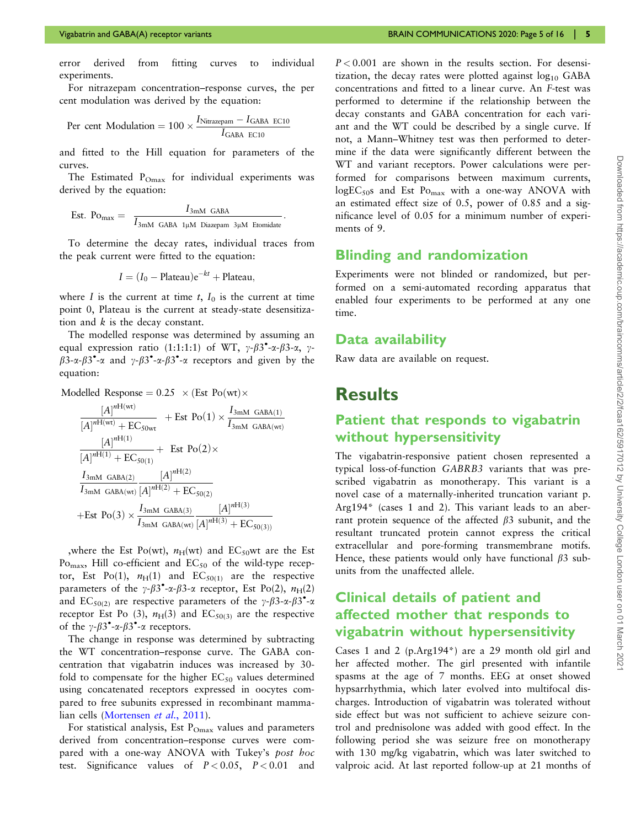error derived from fitting curves to individual experiments.

For nitrazepam concentration–response curves, the per cent modulation was derived by the equation:

Per cent Modulation = 
$$
100 \times \frac{I_{\text{Nitrazepam}} - I_{\text{GABA ECl0}}}{I_{\text{GABA ECl0}}}
$$

and fitted to the Hill equation for parameters of the curves.

The Estimated  $P_{\text{Omax}}$  for individual experiments was derived by the equation:

Est. Po<sub>max</sub> = 
$$
\frac{I_{3mM \text{ GABA}}}{I_{3mM \text{ GABA 1}\mu M \text{ Diazepam 3}\mu M \text{ Etomidate}}}.
$$

To determine the decay rates, individual traces from the peak current were fitted to the equation:

$$
I = (I_0 - \text{Plateau})e^{-kt} + \text{Plateau},
$$

where I is the current at time  $t$ ,  $I_0$  is the current at time point 0, Plateau is the current at steady-state desensitization and k is the decay constant.

The modelled response was determined by assuming an equal expression ratio (1:1:1:1) of WT,  $\gamma-\beta 3^\bullet$ - $\alpha-\beta 3$ - $\alpha$ ,  $\gamma$ - $\beta$ 3- $\alpha$ - $\beta$ 3<sup>\*</sup>- $\alpha$  and  $\gamma$ - $\beta$ 3<sup>\*</sup>- $\alpha$ - $\beta$ 3<sup>\*</sup>- $\alpha$  receptors and given by the equation:

Modelled Response =  $0.25 \times$  (Est Po (wt) $\times$ 

$$
\frac{[A]^{nH(wt)}}{[A]^{nH(wt)} + EC_{50wt}} + Est Po(1) \times \frac{I_{3mM \text{ GABA}(1)}}{I_{3mM \text{ GABA}(wt)}}
$$
\n
$$
\frac{[A]^{nH(1)}}{[A]^{nH(1)} + EC_{50(1)}} + Est Po(2) \times
$$
\n
$$
\frac{I_{3mM \text{ GABA}(2)}}{I_{3mM \text{ GABA}(wt) }[A]^{nH(2)} + EC_{50(2)}}
$$
\n
$$
+Est Po(3) \times \frac{I_{3mM \text{ GABA}(3)}}{I_{3mM \text{ GABA}(wt) }[A]^{nH(3)} + EC_{50(3)}}
$$

,where the Est Po(wt),  $n_H(wt)$  and EC<sub>50</sub>wt are the Est Po<sub>max</sub>, Hill co-efficient and  $EC_{50}$  of the wild-type receptor, Est Po(1),  $n_H(1)$  and EC<sub>50(1)</sub> are the respective parameters of the  $\gamma-\beta 3^\bullet$ - $\alpha-\beta 3$ - $\alpha$  receptor, Est Po(2),  $n_H(2)$ and  $EC_{50(2)}$  are respective parameters of the  $\gamma-\beta$ 3- $\alpha-\beta$ 3°- $\alpha$ receptor Est Po (3),  $n_H(3)$  and  $EC_{50(3)}$  are the respective of the  $\gamma-\beta 3^\bullet$ - $\alpha-\beta 3^\bullet$ - $\alpha$  receptors.

The change in response was determined by subtracting the WT concentration–response curve. The GABA concentration that vigabatrin induces was increased by 30 fold to compensate for the higher  $EC_{50}$  values determined using concatenated receptors expressed in oocytes compared to free subunits expressed in recombinant mamma-lian cells ([Mortensen](#page-15-0) et al., 2011).

For statistical analysis, Est P<sub>Omax</sub> values and parameters derived from concentration–response curves were compared with a one-way ANOVA with Tukey's post hoc test. Significance values of  $P < 0.05$ ,  $P < 0.01$  and

 $P < 0.001$  are shown in the results section. For desensitization, the decay rates were plotted against  $log_{10}$  GABA concentrations and fitted to a linear curve. An F-test was performed to determine if the relationship between the decay constants and GABA concentration for each variant and the WT could be described by a single curve. If not, a Mann–Whitney test was then performed to determine if the data were significantly different between the WT and variant receptors. Power calculations were performed for comparisons between maximum currents,  $logEC_{50}s$  and Est  $Po<sub>max</sub>$  with a one-way ANOVA with an estimated effect size of 0.5, power of 0.85 and a significance level of 0.05 for a minimum number of experiments of 9.

#### Blinding and randomization

Experiments were not blinded or randomized, but performed on a semi-automated recording apparatus that enabled four experiments to be performed at any one time.

#### Data availability

Raw data are available on request.

## **Results**

## Patient that responds to vigabatrin without hypersensitivity

The vigabatrin-responsive patient chosen represented a typical loss-of-function GABRB3 variants that was prescribed vigabatrin as monotherapy. This variant is a novel case of a maternally-inherited truncation variant p. Arg194\* (cases 1 and 2). This variant leads to an aberrant protein sequence of the affected  $\beta$ 3 subunit, and the resultant truncated protein cannot express the critical extracellular and pore-forming transmembrane motifs. Hence, these patients would only have functional  $\beta$ 3 subunits from the unaffected allele.

## Clinical details of patient and affected mother that responds to vigabatrin without hypersensitivity

Cases 1 and 2 (p.Arg194\*) are a 29 month old girl and her affected mother. The girl presented with infantile spasms at the age of 7 months. EEG at onset showed hypsarrhythmia, which later evolved into multifocal discharges. Introduction of vigabatrin was tolerated without side effect but was not sufficient to achieve seizure control and prednisolone was added with good effect. In the following period she was seizure free on monotherapy with 130 mg/kg vigabatrin, which was later switched to valproic acid. At last reported follow-up at 21 months of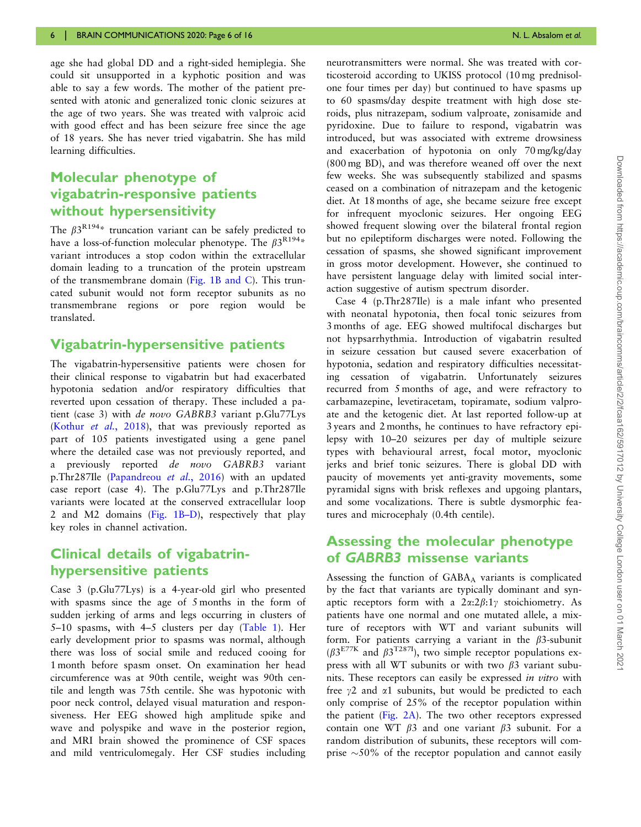age she had global DD and a right-sided hemiplegia. She could sit unsupported in a kyphotic position and was able to say a few words. The mother of the patient presented with atonic and generalized tonic clonic seizures at the age of two years. She was treated with valproic acid with good effect and has been seizure free since the age of 18 years. She has never tried vigabatrin. She has mild learning difficulties.

## Molecular phenotype of vigabatrin-responsive patients without hypersensitivity

The  $\beta 3^{R194*}$  truncation variant can be safely predicted to have a loss-of-function molecular phenotype. The  $\beta 3^{R194*}$ variant introduces a stop codon within the extracellular domain leading to a truncation of the protein upstream of the transmembrane domain [\(Fig. 1B and C\)](#page-2-0). This truncated subunit would not form receptor subunits as no transmembrane regions or pore region would be translated.

#### Vigabatrin-hypersensitive patients

The vigabatrin-hypersensitive patients were chosen for their clinical response to vigabatrin but had exacerbated hypotonia sedation and/or respiratory difficulties that reverted upon cessation of therapy. These included a patient (case 3) with de novo GABRB3 variant p.Glu77Lys [\(Kothur](#page-14-0) et al., 2018), that was previously reported as part of 105 patients investigated using a gene panel where the detailed case was not previously reported, and a previously reported *de novo* GABRB3 variant p.Thr287Ile [\(Papandreou](#page-15-0) et al., 2016) with an updated case report (case 4). The p.Glu77Lys and p.Thr287Ile variants were located at the conserved extracellular loop 2 and M2 domains [\(Fig. 1B–D\)](#page-2-0), respectively that play key roles in channel activation.

#### Clinical details of vigabatrinhypersensitive patients

Case 3 (p.Glu77Lys) is a 4-year-old girl who presented with spasms since the age of 5 months in the form of sudden jerking of arms and legs occurring in clusters of 5–10 spasms, with 4–5 clusters per day ([Table 1](#page-6-0)). Her early development prior to spasms was normal, although there was loss of social smile and reduced cooing for 1 month before spasm onset. On examination her head circumference was at 90th centile, weight was 90th centile and length was 75th centile. She was hypotonic with poor neck control, delayed visual maturation and responsiveness. Her EEG showed high amplitude spike and wave and polyspike and wave in the posterior region, and MRI brain showed the prominence of CSF spaces and mild ventriculomegaly. Her CSF studies including

neurotransmitters were normal. She was treated with corticosteroid according to UKISS protocol (10 mg prednisolone four times per day) but continued to have spasms up to 60 spasms/day despite treatment with high dose steroids, plus nitrazepam, sodium valproate, zonisamide and pyridoxine. Due to failure to respond, vigabatrin was introduced, but was associated with extreme drowsiness and exacerbation of hypotonia on only 70 mg/kg/day (800 mg BD), and was therefore weaned off over the next few weeks. She was subsequently stabilized and spasms ceased on a combination of nitrazepam and the ketogenic diet. At 18 months of age, she became seizure free except for infrequent myoclonic seizures. Her ongoing EEG showed frequent slowing over the bilateral frontal region but no epileptiform discharges were noted. Following the cessation of spasms, she showed significant improvement in gross motor development. However, she continued to have persistent language delay with limited social interaction suggestive of autism spectrum disorder.

Case 4 (p.Thr287Ile) is a male infant who presented with neonatal hypotonia, then focal tonic seizures from 3 months of age. EEG showed multifocal discharges but not hypsarrhythmia. Introduction of vigabatrin resulted in seizure cessation but caused severe exacerbation of hypotonia, sedation and respiratory difficulties necessitating cessation of vigabatrin. Unfortunately seizures recurred from 5 months of age, and were refractory to carbamazepine, levetiracetam, topiramate, sodium valproate and the ketogenic diet. At last reported follow-up at 3 years and 2 months, he continues to have refractory epilepsy with 10–20 seizures per day of multiple seizure types with behavioural arrest, focal motor, myoclonic jerks and brief tonic seizures. There is global DD with paucity of movements yet anti-gravity movements, some pyramidal signs with brisk reflexes and upgoing plantars, and some vocalizations. There is subtle dysmorphic features and microcephaly (0.4th centile).

### Assessing the molecular phenotype of GABRB3 missense variants

Assessing the function of GABA<sub>A</sub> variants is complicated by the fact that variants are typically dominant and synaptic receptors form with a  $2\alpha:2\beta:1\gamma$  stoichiometry. As patients have one normal and one mutated allele, a mixture of receptors with WT and variant subunits will form. For patients carrying a variant in the  $\beta$ 3-subunit  $(\beta 3^{E77K})$  and  $\beta 3^{T287I}$ , two simple receptor populations express with all WT subunits or with two  $\beta$ 3 variant subunits. These receptors can easily be expressed in vitro with free  $\gamma$ 2 and  $\alpha$ 1 subunits, but would be predicted to each only comprise of 25% of the receptor population within the patient [\(Fig. 2A](#page-7-0)). The two other receptors expressed contain one WT  $\beta$ 3 and one variant  $\beta$ 3 subunit. For a random distribution of subunits, these receptors will comprise  $\sim$  50% of the receptor population and cannot easily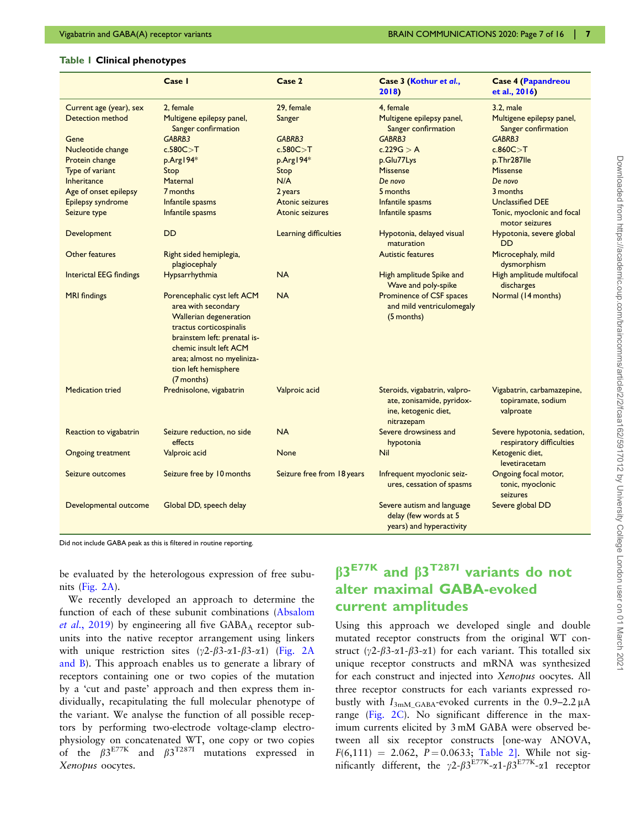#### <span id="page-6-0"></span>Table 1 Clinical phenotypes

|                                | Case I                                                                                                                                                                                                                                       | Case 2                     | Case 3 (Kothur et al.,<br>2018)                                                                  | <b>Case 4 (Papandreou</b><br>et al., 2016)                    |
|--------------------------------|----------------------------------------------------------------------------------------------------------------------------------------------------------------------------------------------------------------------------------------------|----------------------------|--------------------------------------------------------------------------------------------------|---------------------------------------------------------------|
| Current age (year), sex        | 2. female                                                                                                                                                                                                                                    | 29. female                 | 4. female                                                                                        | $3.2.$ male                                                   |
| <b>Detection method</b>        | Multigene epilepsy panel,<br>Sanger confirmation                                                                                                                                                                                             | Sanger                     | Multigene epilepsy panel,<br>Sanger confirmation                                                 | Multigene epilepsy panel,<br>Sanger confirmation              |
| Gene                           | GABRB3                                                                                                                                                                                                                                       | GABRB3                     | GABRB3                                                                                           | GABRB3                                                        |
| Nucleotide change              | c.580C > T                                                                                                                                                                                                                                   | c.580C > T                 | c.229 $G > A$                                                                                    | c.860C > T                                                    |
| Protein change                 | p.Arg194*                                                                                                                                                                                                                                    | p.Arg194*                  | p.Glu77Lys                                                                                       | p.Thr287lle                                                   |
| Type of variant                | Stop                                                                                                                                                                                                                                         | Stop                       | <b>Missense</b>                                                                                  | <b>Missense</b>                                               |
| Inheritance                    | Maternal                                                                                                                                                                                                                                     | N/A                        | De novo                                                                                          | De novo                                                       |
| Age of onset epilepsy          | 7 months                                                                                                                                                                                                                                     | 2 years                    | 5 months                                                                                         | 3 months                                                      |
| Epilepsy syndrome              | Infantile spasms                                                                                                                                                                                                                             | Atonic seizures            | Infantile spasms                                                                                 | <b>Unclassified DEE</b>                                       |
| Seizure type                   | Infantile spasms                                                                                                                                                                                                                             | <b>Atonic seizures</b>     | Infantile spasms                                                                                 | Tonic, myoclonic and focal<br>motor seizures                  |
| Development                    | DD                                                                                                                                                                                                                                           | Learning difficulties      | Hypotonia, delayed visual<br>maturation                                                          | Hypotonia, severe global<br>DD                                |
| Other features                 | Right sided hemiplegia,<br>plagiocephaly                                                                                                                                                                                                     |                            | <b>Autistic features</b>                                                                         | Microcephaly, mild<br>dysmorphism                             |
| <b>Interictal EEG findings</b> | Hypsarrhythmia                                                                                                                                                                                                                               | <b>NA</b>                  | High amplitude Spike and<br>Wave and poly-spike                                                  | High amplitude multifocal<br>discharges                       |
| <b>MRI</b> findings            | Porencephalic cyst left ACM<br>area with secondary<br><b>Wallerian degeneration</b><br>tractus corticospinalis<br>brainstem left: prenatal is-<br>chemic insult left ACM<br>area; almost no myeliniza-<br>tion left hemisphere<br>(7 months) | <b>NA</b>                  | Prominence of CSF spaces<br>and mild ventriculomegaly<br>(5 months)                              | Normal (14 months)                                            |
| <b>Medication tried</b>        | Prednisolone, vigabatrin                                                                                                                                                                                                                     | Valproic acid              | Steroids, vigabatrin, valpro-<br>ate, zonisamide, pyridox-<br>ine, ketogenic diet,<br>nitrazepam | Vigabatrin, carbamazepine,<br>topiramate, sodium<br>valproate |
| Reaction to vigabatrin         | Seizure reduction, no side<br>effects                                                                                                                                                                                                        | <b>NA</b>                  | Severe drowsiness and<br>hypotonia                                                               | Severe hypotonia, sedation,<br>respiratory difficulties       |
| <b>Ongoing treatment</b>       | Valproic acid                                                                                                                                                                                                                                | <b>None</b>                | <b>Nil</b>                                                                                       | Ketogenic diet,<br>levetiracetam                              |
| Seizure outcomes               | Seizure free by 10 months                                                                                                                                                                                                                    | Seizure free from 18 years | Infrequent myoclonic seiz-<br>ures, cessation of spasms                                          | Ongoing focal motor,<br>tonic, myoclonic<br>seizures          |
| Developmental outcome          | Global DD, speech delay                                                                                                                                                                                                                      |                            | Severe autism and language<br>delay (few words at 5<br>years) and hyperactivity                  | Severe global DD                                              |

Did not include GABA peak as this is filtered in routine reporting.

be evaluated by the heterologous expression of free subunits [\(Fig. 2A](#page-7-0)).

We recently developed an approach to determine the function of each of these subunit combinations [\(Absalom](#page-14-0) *et al.*[, 2019\)](#page-14-0) by engineering all five  $GABA_A$  receptor subunits into the native receptor arrangement using linkers with unique restriction sites  $(\gamma 2-\beta 3-\alpha 1-\beta 3-\alpha 1)$  ([Fig. 2A](#page-7-0) [and B\)](#page-7-0). This approach enables us to generate a library of receptors containing one or two copies of the mutation by a 'cut and paste' approach and then express them individually, recapitulating the full molecular phenotype of the variant. We analyse the function of all possible receptors by performing two-electrode voltage-clamp electrophysiology on concatenated WT, one copy or two copies of the  $\beta 3^{E77K}$  and  $\beta 3^{T287I}$  mutations expressed in Xenopus oocytes.

## $B3<sup>E77K</sup>$  and  $B3<sup>T287I</sup>$  variants do not alter maximal GABA-evoked current amplitudes

Using this approach we developed single and double mutated receptor constructs from the original WT construct ( $\gamma$ 2- $\beta$ 3- $\alpha$ 1- $\beta$ 3- $\alpha$ 1) for each variant. This totalled six unique receptor constructs and mRNA was synthesized for each construct and injected into Xenopus oocytes. All three receptor constructs for each variants expressed robustly with  $I_{3mM_GABA}$ -evoked currents in the 0.9–2.2  $\mu$ A range [\(Fig. 2C\)](#page-7-0). No significant difference in the maximum currents elicited by 3 mM GABA were observed between all six receptor constructs [one-way ANOVA,  $F(6,111) = 2.062$ ,  $P = 0.0633$ ; [Table 2\]](#page-8-0). While not significantly different, the  $\gamma$ 2- $\beta$ 3<sup>E77K</sup>- $\alpha$ 1- $\beta$ 3<sup>E77K</sup>- $\alpha$ 1 receptor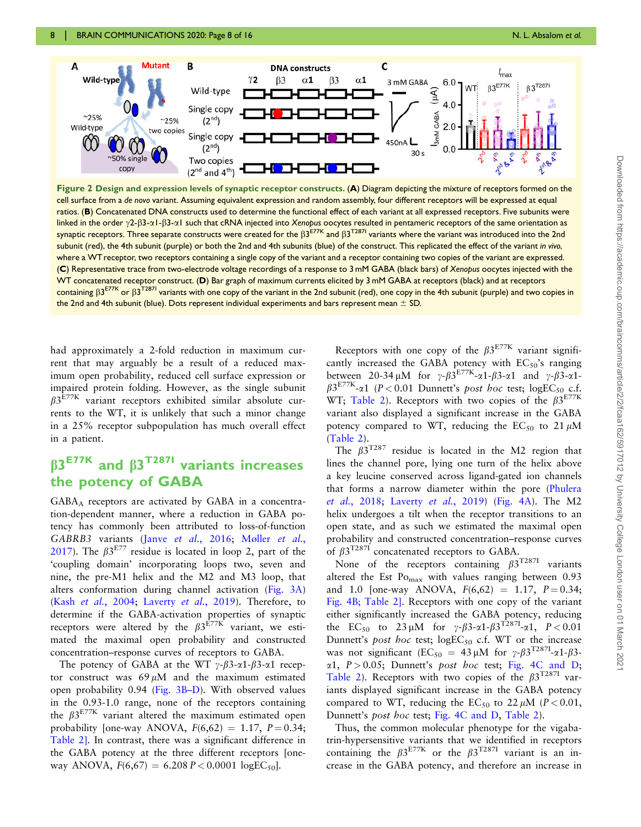<span id="page-7-0"></span>

Figure 2 Design and expression levels of synaptic receptor constructs. (A) Diagram depicting the mixture of receptors formed on the cell surface from a de novo variant. Assuming equivalent expression and random assembly, four different receptors will be expressed at equal ratios. (B) Concatenated DNA constructs used to determine the functional effect of each variant at all expressed receptors. Five subunits were linked in the order  $\gamma$ 2- $\beta$ 3- $\alpha$ 1- $\beta$ 3- $\alpha$ 1 such that cRNA injected into Xenopus oocytes resulted in pentameric receptors of the same orientation as synaptic receptors. Three separate constructs were created for the  $\beta 3^{E77K}$  and  $\beta 3^{T287I}$  variants where the variant was introduced into the 2nd subunit (red), the 4th subunit (purple) or both the 2nd and 4th subunits (blue) of the construct. This replicated the effect of the variant in vivo, where a WTreceptor, two receptors containing a single copy of the variant and a receptor containing two copies of the variant are expressed. (C) Representative trace from two-electrode voltage recordings of a response to 3 mM GABA (black bars) of Xenopus oocytes injected with the WT concatenated receptor construct. (D) Bar graph of maximum currents elicited by 3 mM GABA at receptors (black) and at receptors containing  $\beta 3^{E77K}$  or  $\beta 3^{T287I}$  variants with one copy of the variant in the 2nd subunit (red), one copy in the 4th subunit (purple) and two copies in the 2nd and 4th subunit (blue). Dots represent individual experiments and bars represent mean  $\pm$  SD.

had approximately a 2-fold reduction in maximum current that may arguably be a result of a reduced maximum open probability, reduced cell surface expression or impaired protein folding. However, as the single subunit  $\beta$ 3<sup>E77K</sup> variant receptors exhibited similar absolute currents to the WT, it is unlikely that such a minor change in a 25% receptor subpopulation has much overall effect in a patient.

## $B3<sup>E77K</sup>$  and  $B3<sup>T287I</sup>$  variants increases the potency of GABA

GABAA receptors are activated by GABA in a concentration-dependent manner, where a reduction in GABA potency has commonly been attributed to loss-of-function GABRB3 variants (Janve et al.[, 2016](#page-14-0); [M](#page-15-0)øller [et al.](#page-15-0), [2017](#page-15-0)). The  $\beta 3^{E77}$  residue is located in loop 2, part of the 'coupling domain' incorporating loops two, seven and nine, the pre-M1 helix and the M2 and M3 loop, that alters conformation during channel activation ([Fig. 3A](#page-9-0)) (Kash et al.[, 2004;](#page-14-0) [Laverty](#page-14-0) et al., 2019). Therefore, to determine if the GABA-activation properties of synaptic receptors were altered by the  $\beta 3^{E77K}$  variant, we estimated the maximal open probability and constructed concentration–response curves of receptors to GABA.

The potency of GABA at the WT  $\gamma$ - $\beta$ 3- $\alpha$ 1- $\beta$ 3- $\alpha$ 1 receptor construct was  $69 \mu M$  and the maximum estimated open probability 0.94 [\(Fig. 3B–D\)](#page-9-0). With observed values in the 0.93-1.0 range, none of the receptors containing the  $\beta 3^{E77K}$  variant altered the maximum estimated open probability [one-way ANOVA,  $F(6,62) = 1.17$ ,  $P = 0.34$ ; [Table 2\].](#page-8-0) In contrast, there was a significant difference in the GABA potency at the three different receptors [oneway ANOVA,  $F(6,67) = 6.208 P < 0.0001 \log E C_{50}$ .

Receptors with one copy of the  $\beta 3^{E77K}$  variant significantly increased the GABA potency with  $EC_{50}$ 's ranging between 20-34  $\mu$ M for  $\gamma$ - $\beta$ 3<sup>E77K</sup>- $\alpha$ 1- $\beta$ 3- $\alpha$ 1 and  $\gamma$ - $\beta$ 3- $\alpha$ 1- $\beta 3^{\text{E77K}}$ - $\alpha$ 1 (P < 0.01 Dunnett's post hoc test; logEC<sub>50</sub> c.f. WT; [Table 2](#page-8-0)). Receptors with two copies of the  $\beta 3^{E77K}$ variant also displayed a significant increase in the GABA potency compared to WT, reducing the  $EC_{50}$  to  $21 \mu M$ [\(Table 2](#page-8-0)).

The  $\beta 3^{T287}$  residue is located in the M2 region that lines the channel pore, lying one turn of the helix above a key leucine conserved across ligand-gated ion channels that forms a narrow diameter within the pore [\(Phulera](#page-15-0) et al.[, 2018;](#page-15-0) [Laverty](#page-14-0) et al., 2019) ([Fig. 4A](#page-9-0)). The M2 helix undergoes a tilt when the receptor transitions to an open state, and as such we estimated the maximal open probability and constructed concentration–response curves of  $\beta 3^{T2871}$  concatenated receptors to GABA.

None of the receptors containing  $\beta 3^{T2871}$  variants altered the Est  $Po<sub>max</sub>$  with values ranging between 0.93 and 1.0 [one-way ANOVA,  $F(6,62) = 1.17$ ,  $P = 0.34$ ; [Fig. 4B;](#page-9-0) [Table 2\].](#page-8-0) Receptors with one copy of the variant either significantly increased the GABA potency, reducing the EC<sub>50</sub> to 23 µM for  $\gamma-\beta$ 3-a1- $\beta$ 3<sup>T2871</sup>-a1, P < 0.01 Dunnett's post hoc test;  $logEC_{50}$  c.f. WT or the increase was not significant (EC<sub>50</sub> = 43  $\mu$ M for  $\gamma$ - $\beta$ 3<sup>T287I</sup>- $\alpha$ 1- $\beta$ 3- $\alpha$ 1,  $P > 0.05$ ; Dunnett's post hoc test; [Fig. 4C and D](#page-9-0); [Table 2](#page-8-0)). Receptors with two copies of the  $\beta 3^{T2871}$  variants displayed significant increase in the GABA potency compared to WT, reducing the  $EC_{50}$  to 22  $\mu$ M (P < 0.01, Dunnett's post hoc test; [Fig. 4C and D,](#page-9-0) [Table 2](#page-8-0)).

Thus, the common molecular phenotype for the vigabatrin-hypersensitive variants that we identified in receptors containing the  $\beta 3^{E77K}$  or the  $\beta 3^{T287I}$  variant is an increase in the GABA potency, and therefore an increase in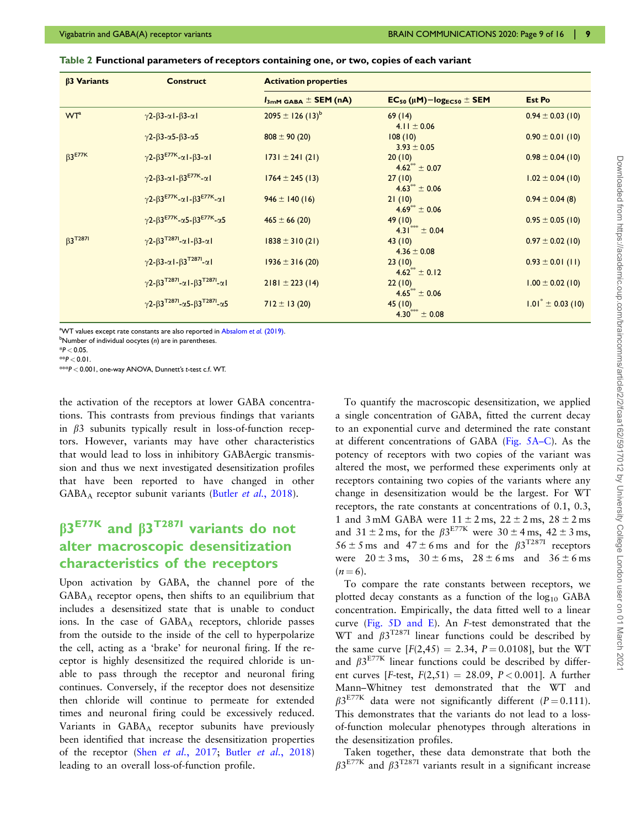<span id="page-8-0"></span>

| Table 2 Functional parameters of receptors containing one, or two, copies of each variant |  |  |  |
|-------------------------------------------------------------------------------------------|--|--|--|
|                                                                                           |  |  |  |
|                                                                                           |  |  |  |

| $\beta$ 3 Variants         | <b>Construct</b>                                                                             | <b>Activation properties</b>               |                                        |                                |  |
|----------------------------|----------------------------------------------------------------------------------------------|--------------------------------------------|----------------------------------------|--------------------------------|--|
|                            |                                                                                              | $I_{3mM \text{ GABA}} \pm \text{SEM (nA)}$ | $EC_{50}(\mu M) - log_{EC50} \pm SEM$  | <b>Est Po</b>                  |  |
| <b>WT</b> <sup>a</sup>     | $\gamma$ 2- $\beta$ 3- $\alpha$ 1- $\beta$ 3- $\alpha$ 1                                     | $2095 \pm 126 (13)^b$                      | 69(14)<br>4.11 $\pm$ 0.06              | $0.94 \pm 0.03$ (10)           |  |
|                            | $\gamma$ 2- $\beta$ 3- $\alpha$ 5- $\beta$ 3- $\alpha$ 5                                     | $808 \pm 90(20)$                           | 108(10)<br>$3.93 \pm 0.05$             | $0.90 \pm 0.01$ (10)           |  |
| $\beta$ 3 <sup>E77K</sup>  | $\gamma$ 2- $\beta$ 3 <sup>E77K</sup> - $\alpha$ I- $\beta$ 3- $\alpha$ I                    | $ 731 \pm 241 (21) $                       | 20(10)<br>$4.62^{\circ\circ} \pm 0.07$ | $0.98 \pm 0.04$ (10)           |  |
|                            | $\gamma$ 2- $\beta$ 3- $\alpha$ 1- $\beta$ 3 <sup>E77K</sup> - $\alpha$ 1                    | $1764 \pm 245$ (13)                        | 27(10)<br>$4.63^{\circ\circ} \pm 0.06$ | $1.02 \pm 0.04$ (10)           |  |
|                            | $\gamma$ 2- $\beta$ 3 <sup>E77K</sup> - $\alpha$ I- $\beta$ 3 <sup>E77K</sup> - $\alpha$ I   | $946 \pm 140(16)$                          | 21(10)<br>$4.69^{**} \pm 0.06$         | $0.94 \pm 0.04$ (8)            |  |
|                            | $\gamma$ 2- $\beta$ 3 <sup>E77K</sup> - $\alpha$ 5- $\beta$ 3 <sup>E77K</sup> - $\alpha$ 5   | $465 \pm 66(20)$                           | 49(10)<br>$4.31$ <sup>***</sup> ± 0.04 | $0.95 \pm 0.05$ (10)           |  |
| $\beta$ 3 <sup>T287I</sup> | $\gamma$ 2- $\beta$ 3 <sup>T2871</sup> - $\alpha$ 1- $\beta$ 3- $\alpha$ 1                   | $1838 \pm 310(21)$                         | 43(10)<br>$4.36 \pm 0.08$              | $0.97 \pm 0.02$ (10)           |  |
|                            | $\gamma$ 2- $\beta$ 3- $\alpha$ I- $\beta$ 3 <sup>T287I</sup> - $\alpha$ I                   | $1936 \pm 316(20)$                         | 23(10)<br>$4.62^{+} \pm 0.12$          | $0.93 \pm 0.01$ (11)           |  |
|                            | $\gamma$ 2- $\beta$ 3 <sup>T2871</sup> - $\alpha$ 1- $\beta$ 3 <sup>T2871</sup> - $\alpha$ 1 | $2181 \pm 223$ (14)                        | 22(10)<br>$4.65^{\circ\circ} \pm 0.06$ | $1.00 \pm 0.02$ (10)           |  |
|                            | $\gamma$ 2- $\beta$ 3 <sup>T2871</sup> - $\alpha$ 5- $\beta$ 3 <sup>T2871</sup> - $\alpha$ 5 | $712 \pm 13(20)$                           | 45(10)<br>$4.30^{***} \pm 0.08$        | $1.01^{\degree} \pm 0.03$ (10) |  |

<sup>a</sup>WT values except rate constants are also reported in [Absalom](#page-14-0) et al. (2019).

 $^{\rm b}$ Number of individual oocytes (n) are in parentheses.

 $*$  $P < 0.01$ . \*\*\*P < 0.001, one-way ANOVA, Dunnett's t-test c.f. WT.

the activation of the receptors at lower GABA concentrations. This contrasts from previous findings that variants in  $\beta$ 3 subunits typically result in loss-of-function receptors. However, variants may have other characteristics that would lead to loss in inhibitory GABAergic transmission and thus we next investigated desensitization profiles that have been reported to have changed in other  $GABA_A$  receptor subunit variants (Butler *et al.*[, 2018\)](#page-14-0).

## $\beta$ 3<sup>E77K</sup> and  $\beta$ 3<sup>T287I</sup> variants do not alter macroscopic desensitization characteristics of the receptors

Upon activation by GABA, the channel pore of the GABAA receptor opens, then shifts to an equilibrium that includes a desensitized state that is unable to conduct ions. In the case of GABAA receptors, chloride passes from the outside to the inside of the cell to hyperpolarize the cell, acting as a 'brake' for neuronal firing. If the receptor is highly desensitized the required chloride is unable to pass through the receptor and neuronal firing continues. Conversely, if the receptor does not desensitize then chloride will continue to permeate for extended times and neuronal firing could be excessively reduced. Variants in  $GABA_A$  receptor subunits have previously been identified that increase the desensitization properties of the receptor (Shen et al.[, 2017](#page-15-0); Butler et al.[, 2018\)](#page-14-0) leading to an overall loss-of-function profile.

To quantify the macroscopic desensitization, we applied a single concentration of GABA, fitted the current decay to an exponential curve and determined the rate constant at different concentrations of GABA [\(Fig. 5A–C\)](#page-10-0). As the potency of receptors with two copies of the variant was altered the most, we performed these experiments only at receptors containing two copies of the variants where any change in desensitization would be the largest. For WT receptors, the rate constants at concentrations of 0.1, 0.3, 1 and 3 mM GABA were  $11 \pm 2$  ms,  $22 \pm 2$  ms,  $28 \pm 2$  ms and  $31 \pm 2$  ms, for the  $\beta 3^{E77K}$  were  $30 \pm 4$  ms,  $42 \pm 3$  ms,  $56 \pm 5$  ms and  $47 \pm 6$  ms and for the  $\beta 3^{T2871}$  receptors were  $20 \pm 3$  ms,  $30 \pm 6$  ms,  $28 \pm 6$  ms and  $36 \pm 6$  ms  $(n = 6)$ .

To compare the rate constants between receptors, we plotted decay constants as a function of the  $log_{10}$  GABA concentration. Empirically, the data fitted well to a linear curve ([Fig. 5D and E\)](#page-10-0). An F-test demonstrated that the WT and  $\beta 3^{T2871}$  linear functions could be described by the same curve  $[F(2,45) = 2.34, P = 0.0108]$ , but the WT and  $\beta 3^{E77K}$  linear functions could be described by different curves [F-test,  $F(2,51) = 28.09$ ,  $P < 0.001$ ]. A further Mann–Whitney test demonstrated that the WT and  $\beta 3^{E77K}$  data were not significantly different (P = 0.111). This demonstrates that the variants do not lead to a lossof-function molecular phenotypes through alterations in the desensitization profiles.

Taken together, these data demonstrate that both the  $\beta 3^{E77K}$  and  $\beta 3^{T287I}$  variants result in a significant increase

 $*P < 0.05$ .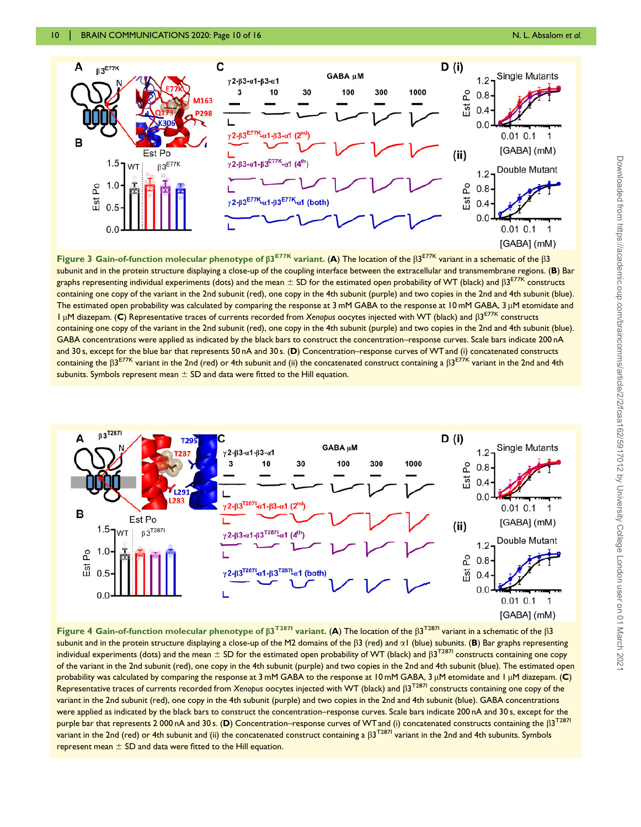<span id="page-9-0"></span>

Figure 3 Gain-of-function molecular phenotype of  $\beta 3^{E77K}$  variant. (A) The location of the  $\beta 3^{E77K}$  variant in a schematic of the  $\beta 3$ subunit and in the protein structure displaying a close-up of the coupling interface between the extracellular and transmembrane regions. (B) Bar graphs representing individual experiments (dots) and the mean  $\pm$  SD for the estimated open probability of WT (black) and  $\beta$ 3<sup>E77K</sup> constructs containing one copy of the variant in the 2nd subunit (red), one copy in the 4th subunit (purple) and two copies in the 2nd and 4th subunit (blue). The estimated open probability was calculated by comparing the response at 3 mM GABA to the response at 10 mM GABA, 3 µM etomidate and  $1 \mu$ M diazepam. (C) Representative traces of currents recorded from Xenopus oocytes injected with WT (black) and  $\beta$ 3<sup>E77K</sup> constructs containing one copy of the variant in the 2nd subunit (red), one copy in the 4th subunit (purple) and two copies in the 2nd and 4th subunit (blue). GABA concentrations were applied as indicated by the black bars to construct the concentration–response curves. Scale bars indicate 200 nA and 30 s, except for the blue bar that represents 50 nA and 30 s. (D) Concentration–response curves of WTand (i) concatenated constructs containing the  $\beta 3^{E77K}$  variant in the 2nd (red) or 4th subunit and (ii) the concatenated construct containing a  $\beta 3^{E77K}$  variant in the 2nd and 4th subunits. Symbols represent mean  $\pm$  SD and data were fitted to the Hill equation.



Figure 4 Gain-of-function molecular phenotype of  $\beta$ 3<sup>T2871</sup> variant. (A) The location of the  $\beta$ 3<sup>T2871</sup> variant in a schematic of the  $\beta$ 3 subunit and in the protein structure displaying a close-up of the M2 domains of the  $\beta$ 3 (red) and  $\alpha$ 1 (blue) subunits. (B) Bar graphs representing individual experiments (dots) and the mean  $\pm$  SD for the estimated open probability of WT (black) and  $\beta$ 3<sup>T2871</sup> constructs containing one copy of the variant in the 2nd subunit (red), one copy in the 4th subunit (purple) and two copies in the 2nd and 4th subunit (blue). The estimated open probability was calculated by comparing the response at 3 mM GABA to the response at 10 mM GABA, 3  $\mu$ M etomidate and 1  $\mu$ M diazepam. (C) Representative traces of currents recorded from Xenopus oocytes injected with WT (black) and  $\beta$ 3<sup>T287</sup>I constructs containing one copy of the variant in the 2nd subunit (red), one copy in the 4th subunit (purple) and two copies in the 2nd and 4th subunit (blue). GABA concentrations were applied as indicated by the black bars to construct the concentration–response curves. Scale bars indicate 200 nA and 30 s, except for the purple bar that represents 2 000 nA and 30 s. (D) Concentration–response curves of WT and (i) concatenated constructs containing the  $\beta 3^{T2871}$ variant in the 2nd (red) or 4th subunit and (ii) the concatenated construct containing a  $\beta$ 3T287I variant in the 2nd and 4th subunits. Symbols represent mean  $\pm$  SD and data were fitted to the Hill equation.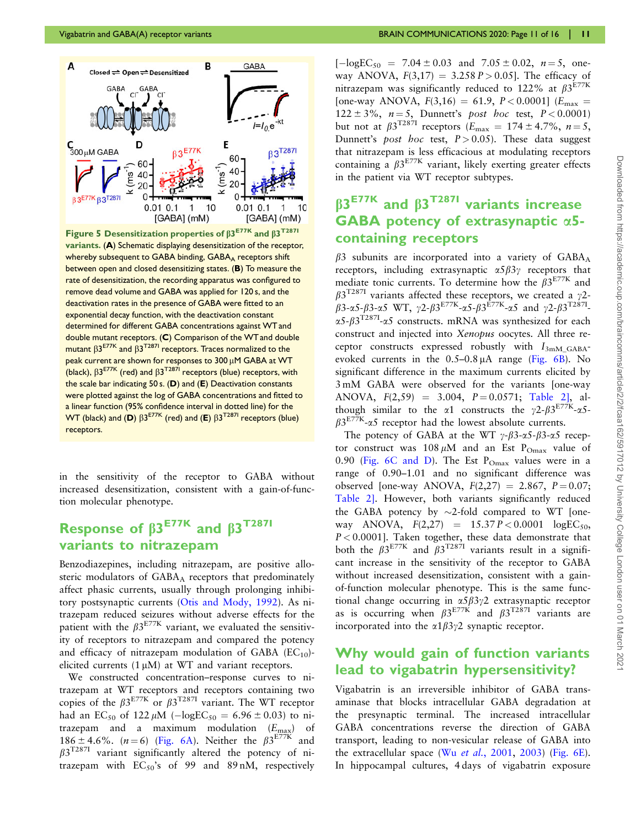<span id="page-10-0"></span>

Figure 5 Desensitization properties of  $\beta 3^{E77K}$  and  $\beta 3^{T287I}$ variants. (A) Schematic displaying desensitization of the receptor, whereby subsequent to GABA binding, GABA<sub>A</sub> receptors shift between open and closed desensitizing states. (B) To measure the rate of desensitization, the recording apparatus was configured to remove dead volume and GABA was applied for 120 s, and the deactivation rates in the presence of GABA were fitted to an exponential decay function, with the deactivation constant determined for different GABA concentrations against WTand double mutant receptors. (C) Comparison of the WTand double mutant  $\beta 3^{E77K}$  and  $\beta 3^{T287I}$  receptors. Traces normalized to the peak current are shown for responses to  $300 \mu$ M GABA at WT (black),  $\beta 3^{E77K}$  (red) and  $\beta 3^{T287I}$  receptors (blue) receptors, with the scale bar indicating 50 s. (D) and (E) Deactivation constants were plotted against the log of GABA concentrations and fitted to a linear function (95% confidence interval in dotted line) for the WT (black) and (D)  $\beta 3^{E77K}$  (red) and (E)  $\beta 3^{T287I}$  receptors (blue) receptors.

in the sensitivity of the receptor to GABA without increased desensitization, consistent with a gain-of-function molecular phenotype.

## Response of  $\beta$ 3<sup>E77K</sup> and  $\beta$ 3<sup>T287I</sup> variants to nitrazepam

Benzodiazepines, including nitrazepam, are positive allosteric modulators of GABAA receptors that predominately affect phasic currents, usually through prolonging inhibitory postsynaptic currents [\(Otis and Mody, 1992](#page-15-0)). As nitrazepam reduced seizures without adverse effects for the patient with the  $\beta 3^{E77K}$  variant, we evaluated the sensitivity of receptors to nitrazepam and compared the potency and efficacy of nitrazepam modulation of GABA  $(EC_{10})$ elicited currents  $(1 \mu M)$  at WT and variant receptors.

We constructed concentration–response curves to nitrazepam at WT receptors and receptors containing two copies of the  $\beta 3^{E77K}$  or  $\beta 3^{T287I}$  variant. The WT receptor had an EC<sub>50</sub> of 122  $\mu$ M ( $-\log EC_{50} = 6.96 \pm 0.03$ ) to nitrazepam and a maximum modulation  $(E_{\text{max}})$  of 186 ± 4.6%. (*n* = 6) [\(Fig. 6A](#page-11-0)). Neither the  $\beta 3^{E77K}$  and  $\beta$ 3<sup>T287I</sup> variant significantly altered the potency of nitrazepam with  $EC_{50}$ 's of 99 and 89 nM, respectively  $[-logEC_{50} = 7.04 \pm 0.03 \text{ and } 7.05 \pm 0.02, n = 5, \text{ one-}$ way ANOVA,  $F(3,17) = 3.258 P > 0.05$ . The efficacy of nitrazepam was significantly reduced to 122% at  $\beta 3^{E77K}$ [one-way ANOVA,  $F(3,16) = 61.9$ ,  $P < 0.0001$ ] ( $E_{\text{max}}$ )  $122 \pm 3\%, n = 5$ , Dunnett's post hoc test,  $P < 0.0001$ ) but not at  $\beta 3^{T2871}$  receptors  $(E_{\text{max}} = 174 \pm 4.7\%, n = 5,$ Dunnett's post hoc test,  $P > 0.05$ ). These data suggest that nitrazepam is less efficacious at modulating receptors containing a  $\beta 3^{E77K}$  variant, likely exerting greater effects in the patient via WT receptor subtypes.

## $\beta$ 3<sup>E77K</sup> and  $\beta$ 3<sup>T287I</sup> variants increase GABA potency of extrasynaptic a5 containing receptors

 $\beta$ 3 subunits are incorporated into a variety of GABA<sub>A</sub> receptors, including extrasynaptic  $\alpha 5\beta 3\gamma$  receptors that mediate tonic currents. To determine how the  $\beta 3^{E77K}$  and  $\beta$ 3<sup>T287I</sup> variants affected these receptors, we created a  $\gamma$ 2- $\beta$ 3-a5- $\beta$ 3-a5 WT,  $\gamma$ 2- $\beta$ 3<sup>E77K</sup>-a5- $\beta$ 3<sup>E77K</sup>-a5 and  $\gamma$ 2- $\beta$ 3<sup>T2871</sup>- $\alpha$ 5- $\beta$ 3<sup>T287I</sup>- $\alpha$ 5 constructs. mRNA was synthesized for each construct and injected into Xenopus oocytes. All three receptor constructs expressed robustly with  $I_{3mM_GABA}$ evoked currents in the  $0.5-0.8 \mu A$  range ([Fig. 6B\)](#page-11-0). No significant difference in the maximum currents elicited by 3 mM GABA were observed for the variants [one-way ANOVA,  $F(2,59) = 3.004$ ,  $P = 0.0571$ ; [Table 2\]](#page-8-0), although similar to the  $\alpha$ 1 constructs the  $\gamma$ 2- $\beta$ 3<sup>E77K</sup>- $\alpha$ 5- $\beta$ 3<sup>E77K</sup>- $\alpha$ 5 receptor had the lowest absolute currents.

The potency of GABA at the WT  $\gamma$ - $\beta$ 3- $\alpha$ 5- $\beta$ 3- $\alpha$ 5 receptor construct was  $108 \mu M$  and an Est P<sub>Omax</sub> value of 0.90 [\(Fig. 6C and D\)](#page-11-0). The Est  $P_{Omax}$  values were in a range of 0.90–1.01 and no significant difference was observed [one-way ANOVA,  $F(2,27) = 2.867$ ,  $P = 0.07$ ; [Table 2\]](#page-8-0). However, both variants significantly reduced the GABA potency by  $\sim$ 2-fold compared to WT [oneway ANOVA,  $F(2,27) = 15.37 P < 0.0001 \log E C_{50}$ ,  $P < 0.0001$ ]. Taken together, these data demonstrate that both the  $\beta 3^{E77K}$  and  $\beta 3^{T287I}$  variants result in a significant increase in the sensitivity of the receptor to GABA without increased desensitization, consistent with a gainof-function molecular phenotype. This is the same functional change occurring in  $\alpha 5\beta 3\gamma 2$  extrasynaptic receptor as is occurring when  $\beta 3^{E77K}$  and  $\beta 3^{T287I}$  variants are incorporated into the  $\alpha$ 1 $\beta$ 3 $\gamma$ 2 synaptic receptor.

#### Why would gain of function variants lead to vigabatrin hypersensitivity?

Vigabatrin is an irreversible inhibitor of GABA transaminase that blocks intracellular GABA degradation at the presynaptic terminal. The increased intracellular GABA concentrations reverse the direction of GABA transport, leading to non-vesicular release of GABA into the extracellular space (Wu et al.[, 2001](#page-15-0), [2003\)](#page-15-0) (Fig.  $6E$ ). In hippocampal cultures, 4 days of vigabatrin exposure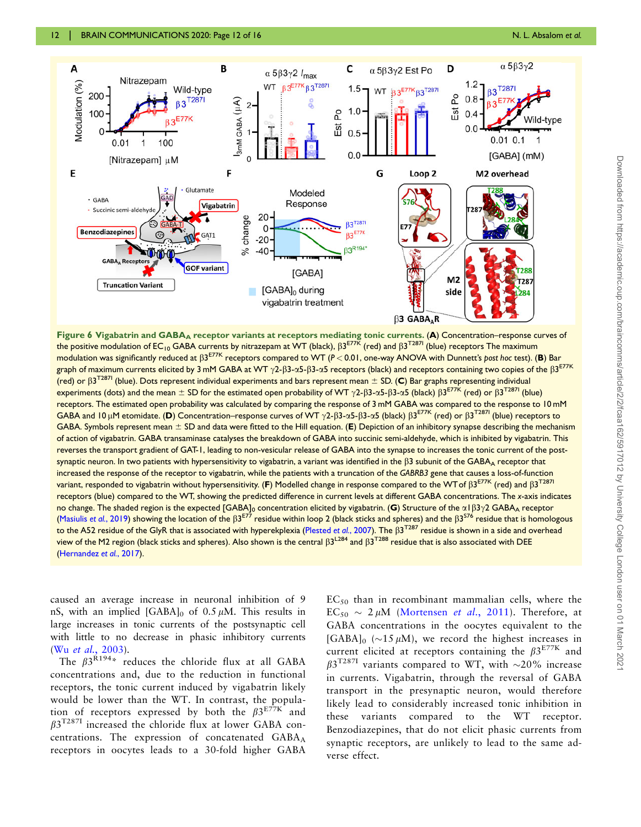<span id="page-11-0"></span>

Figure 6 Vigabatrin and GABA<sub>A</sub> receptor variants at receptors mediating tonic currents. (A) Concentration–response curves of the positive modulation of EC<sub>10</sub> GABA currents by nitrazepam at WT (black),  $\beta$ <sup>E77K</sup> (red) and  $\beta$ <sup>T2871</sup> (blue) receptors The maximum modulation was significantly reduced at  $\beta$ 3<sup>E77K</sup> receptors compared to WT (P < 0.01, one-way ANOVA with Dunnett's post hoc test). (**B**) Bar graph of maximum currents elicited by 3 mM GABA at WT  $\gamma$ 2- $\beta$ 3- $\alpha$ 5- $\beta$ 3- $\alpha$ 5 receptors (black) and receptors containing two copies of the  $\beta$ 3<sup>E77K</sup> (red) or  $\beta$ 3<sup>T287I</sup> (blue). Dots represent individual experiments and bars represent mean  $\pm$  SD. (C) Bar graphs representing individual experiments (dots) and the mean  $\pm$  SD for the estimated open probability of WT  $\gamma$ 2- $\beta$ 3- $\alpha$ 5- $\beta$ 3- $\alpha$ 5 (black)  $\beta$ 3<sup>E77K</sup> (red) or  $\beta$ 3<sup>T2871</sup> (blue) receptors. The estimated open probability was calculated by comparing the response of 3 mM GABA was compared to the response to 10 mM GABA and 10 µM etomidate. (D) Concentration–response curves of WT  $\gamma$ 2- $\beta$ 3- $\alpha$ 5- $\beta$ 3- $\alpha$ 5 (black)  $\beta$ 3<sup>E77K</sup> (red) or  $\beta$ 3<sup>T2871</sup> (blue) receptors to GABA. Symbols represent mean  $\pm$  SD and data were fitted to the Hill equation. (E) Depiction of an inhibitory synapse describing the mechanism of action of vigabatrin. GABA transaminase catalyses the breakdown of GABA into succinic semi-aldehyde, which is inhibited by vigabatrin. This reverses the transport gradient of GAT-1, leading to non-vesicular release of GABA into the synapse to increases the tonic current of the postsynaptic neuron. In two patients with hypersensitivity to vigabatrin, a variant was identified in the  $\beta$ 3 subunit of the GABA<sub>A</sub> receptor that increased the response of the receptor to vigabatrin, while the patients with a truncation of the GABRB3 gene that causes a loss-of-function variant, responded to vigabatrin without hypersensitivity. (F) Modelled change in response compared to the WT of  $\beta 3^{E77K}$  (red) and  $\beta 3^{T287L}$ receptors (blue) compared to the WT, showing the predicted difference in current levels at different GABA concentrations. The x-axis indicates no change. The shaded region is the expected [GABA]<sub>0</sub> concentration elicited by vigabatrin. (G) Structure of the  $\alpha$ 1 $\beta$ 3 $\gamma$ 2 GABA<sub>A</sub> receptor ([Masiulis](#page-15-0) et al., 2019) showing the location of the  $\beta 3^{E77}$  residue within loop 2 (black sticks and spheres) and the  $\beta 3^{576}$  residue that is homologous to the A52 residue of the GlyR that is associated with hyperekplexia ([Plested](#page-15-0) et al., 2007). The  $\beta$ 3<sup>T287</sup> residue is shown in a side and overhead view of the M2 region (black sticks and spheres). Also shown is the central  $\beta$ 3<sup>L284</sup> and  $\beta$ 3<sup>T288</sup> residue that is also associated with DEE ([Hernandez](#page-14-0) et al., 2017).

caused an average increase in neuronal inhibition of 9 nS, with an implied  $[GABA]_0$  of 0.5  $\mu$ M. This results in large increases in tonic currents of the postsynaptic cell with little to no decrease in phasic inhibitory currents (Wu et al.[, 2003](#page-15-0)).

The  $\beta 3^{R194*}$  reduces the chloride flux at all GABA concentrations and, due to the reduction in functional receptors, the tonic current induced by vigabatrin likely would be lower than the WT. In contrast, the population of receptors expressed by both the  $\beta 3^{E77K}$  and  $\beta 3^{T2871}$  increased the chloride flux at lower GABA concentrations. The expression of concatenated GABA<sub>A</sub> receptors in oocytes leads to a 30-fold higher GABA

 $EC_{50}$  than in recombinant mammalian cells, where the  $EC_{50} \sim 2 \mu M$  [\(Mortensen](#page-15-0) *et al.*, 2011). Therefore, at GABA concentrations in the oocytes equivalent to the [GABA]<sup>0</sup> ( $\sim$ 15  $\mu$ M), we record the highest increases in current elicited at receptors containing the  $\beta 3^{E77K}$  and  $\beta$ 3<sup>T287I</sup> variants compared to WT, with  $\sim$ 20% increase in currents. Vigabatrin, through the reversal of GABA transport in the presynaptic neuron, would therefore likely lead to considerably increased tonic inhibition in these variants compared to the WT receptor. Benzodiazepines, that do not elicit phasic currents from synaptic receptors, are unlikely to lead to the same adverse effect.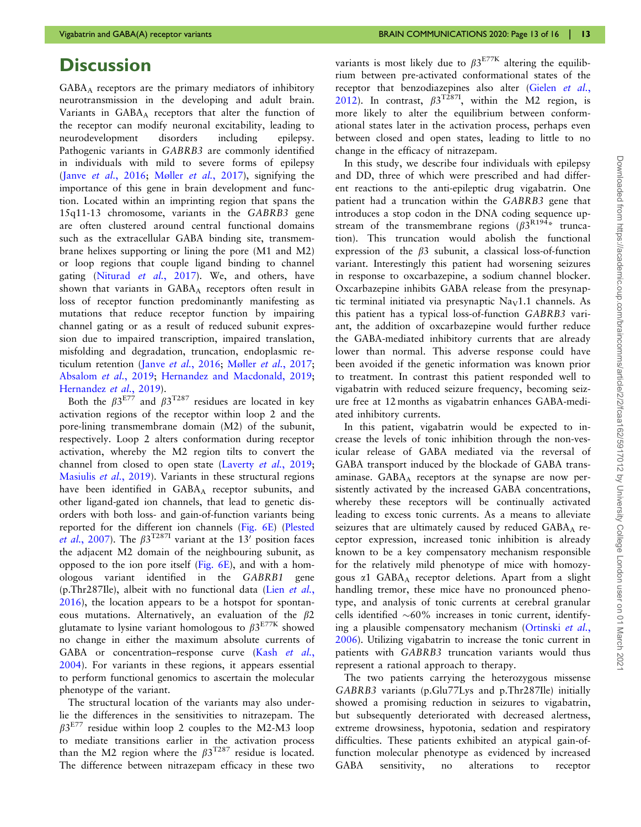## **Discussion**

GABAA receptors are the primary mediators of inhibitory neurotransmission in the developing and adult brain. Variants in GABA<sub>A</sub> receptors that alter the function of the receptor can modify neuronal excitability, leading to neurodevelopment disorders including epilepsy. Pathogenic variants in GABRB3 are commonly identified in individuals with mild to severe forms of epilepsy (Janve et al.[, 2016](#page-14-0); [M](#page-15-0)øller et al.[, 2017](#page-15-0)), signifying the importance of this gene in brain development and function. Located within an imprinting region that spans the 15q11-13 chromosome, variants in the GABRB3 gene are often clustered around central functional domains such as the extracellular GABA binding site, transmembrane helixes supporting or lining the pore (M1 and M2) or loop regions that couple ligand binding to channel gating [\(Niturad](#page-15-0) et al., 2017). We, and others, have shown that variants in  $GABA_A$  receptors often result in loss of receptor function predominantly manifesting as mutations that reduce receptor function by impairing channel gating or as a result of reduced subunit expression due to impaired transcription, impaired translation, misfolding and degradation, truncation, endoplasmic reticulum retention (Janve et al.[, 2016;](#page-14-0) [Mø](#page-15-0)ller et al.[, 2017](#page-15-0); [Absalom](#page-14-0) et al., 2019; [Hernandez and Macdonald, 2019](#page-14-0); [Hernandez](#page-14-0) et al., 2019).

Both the  $\beta 3^{E77}$  and  $\beta 3^{T287}$  residues are located in key activation regions of the receptor within loop 2 and the pore-lining transmembrane domain (M2) of the subunit, respectively. Loop 2 alters conformation during receptor activation, whereby the M2 region tilts to convert the channel from closed to open state ([Laverty](#page-15-0) et al., 2019; [Masiulis](#page-15-0) et al., 2019). Variants in these structural regions have been identified in GABA<sub>A</sub> receptor subunits, and other ligand-gated ion channels, that lead to genetic disorders with both loss- and gain-of-function variants being reported for the different ion channels [\(Fig. 6E](#page-11-0)) [\(Plested](#page-15-0) et al.[, 2007\)](#page-15-0). The  $\beta 3^{T2871}$  variant at the 13' position faces the adjacent M2 domain of the neighbouring subunit, as opposed to the ion pore itself [\(Fig. 6E](#page-11-0)), and with a homologous variant identified in the GABRB1 gene (p.Thr287Ile), albeit with no functional data (Lien [et al.](#page-15-0), [2016\)](#page-15-0), the location appears to be a hotspot for spontaneous mutations. Alternatively, an evaluation of the  $\beta$ 2 glutamate to lysine variant homologous to  $\beta 3^{E77K}$  showed no change in either the maximum absolute currents of GABA or concentration–response curve (Kash [et al.](#page-14-0), [2004\)](#page-14-0). For variants in these regions, it appears essential to perform functional genomics to ascertain the molecular phenotype of the variant.

The structural location of the variants may also underlie the differences in the sensitivities to nitrazepam. The  $\beta$ 3<sup>E77</sup> residue within loop 2 couples to the M2-M3 loop to mediate transitions earlier in the activation process than the M2 region where the  $\beta 3^{T287}$  residue is located. The difference between nitrazepam efficacy in these two variants is most likely due to  $\beta 3^{E77K}$  altering the equilibrium between pre-activated conformational states of the receptor that benzodiazepines also alter ([Gielen](#page-14-0) et al., [2012\)](#page-14-0). In contrast,  $\beta 3^{T2871}$ , within the M2 region, is more likely to alter the equilibrium between conformational states later in the activation process, perhaps even between closed and open states, leading to little to no change in the efficacy of nitrazepam.

In this study, we describe four individuals with epilepsy and DD, three of which were prescribed and had different reactions to the anti-epileptic drug vigabatrin. One patient had a truncation within the GABRB3 gene that introduces a stop codon in the DNA coding sequence upstream of the transmembrane regions  $(\beta 3^{R194*})$  truncation). This truncation would abolish the functional expression of the  $\beta$ 3 subunit, a classical loss-of-function variant. Interestingly this patient had worsening seizures in response to oxcarbazepine, a sodium channel blocker. Oxcarbazepine inhibits GABA release from the presynaptic terminal initiated via presynaptic  $\text{Na}_{\text{V}}1.1$  channels. As this patient has a typical loss-of-function GABRB3 variant, the addition of oxcarbazepine would further reduce the GABA-mediated inhibitory currents that are already lower than normal. This adverse response could have been avoided if the genetic information was known prior to treatment. In contrast this patient responded well to vigabatrin with reduced seizure frequency, becoming seizure free at 12 months as vigabatrin enhances GABA-mediated inhibitory currents.

In this patient, vigabatrin would be expected to increase the levels of tonic inhibition through the non-vesicular release of GABA mediated via the reversal of GABA transport induced by the blockade of GABA transaminase.  $GABA_A$  receptors at the synapse are now persistently activated by the increased GABA concentrations, whereby these receptors will be continually activated leading to excess tonic currents. As a means to alleviate seizures that are ultimately caused by reduced GABAA receptor expression, increased tonic inhibition is already known to be a key compensatory mechanism responsible for the relatively mild phenotype of mice with homozygous  $\alpha$ 1 GABA<sub>A</sub> receptor deletions. Apart from a slight handling tremor, these mice have no pronounced phenotype, and analysis of tonic currents at cerebral granular cells identified  $~60\%$  increases in tonic current, identifying a plausible compensatory mechanism ([Ortinski](#page-15-0) et al., [2006\)](#page-15-0). Utilizing vigabatrin to increase the tonic current in patients with GABRB3 truncation variants would thus represent a rational approach to therapy.

The two patients carrying the heterozygous missense GABRB3 variants (p.Glu77Lys and p.Thr287Ile) initially showed a promising reduction in seizures to vigabatrin, but subsequently deteriorated with decreased alertness, extreme drowsiness, hypotonia, sedation and respiratory difficulties. These patients exhibited an atypical gain-offunction molecular phenotype as evidenced by increased GABA sensitivity, no alterations to receptor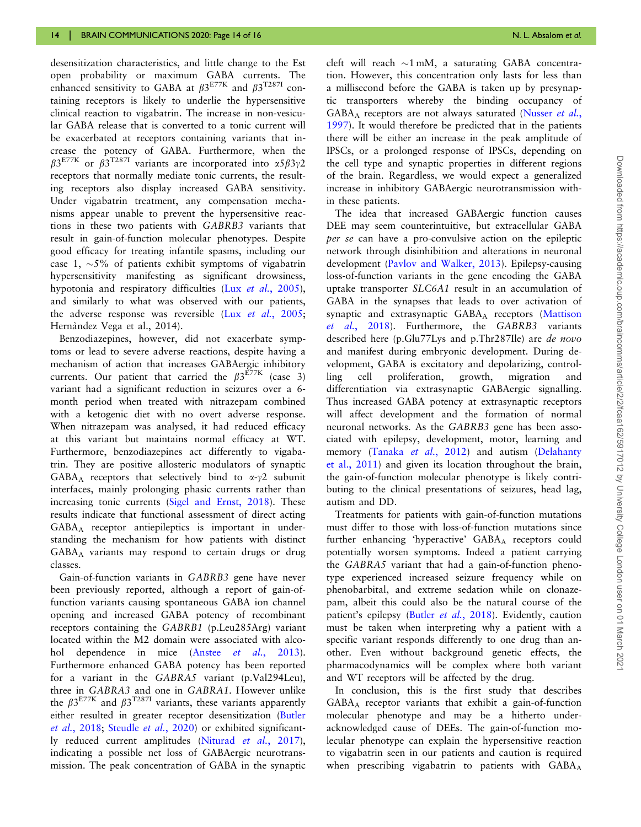desensitization characteristics, and little change to the Est open probability or maximum GABA currents. The enhanced sensitivity to GABA at  $B3^{E77K}$  and  $B3^{T287I}$  containing receptors is likely to underlie the hypersensitive clinical reaction to vigabatrin. The increase in non-vesicular GABA release that is converted to a tonic current will be exacerbated at receptors containing variants that increase the potency of GABA. Furthermore, when the  $\beta 3^{E77K}$  or  $\beta 3^{T2871}$  variants are incorporated into  $\alpha 5\beta 3\gamma 2$ receptors that normally mediate tonic currents, the resulting receptors also display increased GABA sensitivity. Under vigabatrin treatment, any compensation mechanisms appear unable to prevent the hypersensitive reactions in these two patients with GABRB3 variants that result in gain-of-function molecular phenotypes. Despite good efficacy for treating infantile spasms, including our case 1,  $\sim$ 5% of patients exhibit symptoms of vigabatrin hypersensitivity manifesting as significant drowsiness, hypotonia and respiratory difficulties (Lux et al.[, 2005](#page-15-0)), and similarly to what was observed with our patients, the adverse response was reversible (Lux et al.[, 2005;](#page-15-0) Hernàndez Vega et al., 2014).

Benzodiazepines, however, did not exacerbate symptoms or lead to severe adverse reactions, despite having a mechanism of action that increases GABAergic inhibitory currents. Our patient that carried the  $\beta 3^{E77K}$  (case 3) variant had a significant reduction in seizures over a 6 month period when treated with nitrazepam combined with a ketogenic diet with no overt adverse response. When nitrazepam was analysed, it had reduced efficacy at this variant but maintains normal efficacy at WT. Furthermore, benzodiazepines act differently to vigabatrin. They are positive allosteric modulators of synaptic GABA<sub>A</sub> receptors that selectively bind to  $\alpha$ - $\gamma$ 2 subunit interfaces, mainly prolonging phasic currents rather than increasing tonic currents ([Sigel and Ernst, 2018](#page-15-0)). These results indicate that functional assessment of direct acting GABAA receptor antiepileptics is important in understanding the mechanism for how patients with distinct GABAA variants may respond to certain drugs or drug classes.

Gain-of-function variants in GABRB3 gene have never been previously reported, although a report of gain-offunction variants causing spontaneous GABA ion channel opening and increased GABA potency of recombinant receptors containing the GABRB1 (p.Leu285Arg) variant located within the M2 domain were associated with alcohol dependence in mice (Anstee *et al.*[, 2013](#page-14-0)). Furthermore enhanced GABA potency has been reported for a variant in the GABRA5 variant (p.Val294Leu), three in GABRA3 and one in GABRA1. However unlike the  $\beta 3^{E77K}$  and  $\beta 3^{T287I}$  variants, these variants apparently either resulted in greater receptor desensitization ([Butler](#page-14-0) et al.[, 2018](#page-14-0); [Steudle](#page-15-0) et al., 2020) or exhibited significantly reduced current amplitudes [\(Niturad](#page-15-0) et al., 2017), indicating a possible net loss of GABAergic neurotransmission. The peak concentration of GABA in the synaptic

cleft will reach  $\sim$ 1 mM, a saturating GABA concentration. However, this concentration only lasts for less than a millisecond before the GABA is taken up by presynaptic transporters whereby the binding occupancy of GABAA receptors are not always saturated ([Nusser](#page-15-0) et al., [1997](#page-15-0)). It would therefore be predicted that in the patients there will be either an increase in the peak amplitude of IPSCs, or a prolonged response of IPSCs, depending on the cell type and synaptic properties in different regions of the brain. Regardless, we would expect a generalized increase in inhibitory GABAergic neurotransmission within these patients.

The idea that increased GABAergic function causes DEE may seem counterintuitive, but extracellular GABA per se can have a pro-convulsive action on the epileptic network through disinhibition and alterations in neuronal development ([Pavlov and Walker, 2013\)](#page-15-0). Epilepsy-causing loss-of-function variants in the gene encoding the GABA uptake transporter SLC6A1 result in an accumulation of GABA in the synapses that leads to over activation of synaptic and extrasynaptic GABAA receptors ([Mattison](#page-15-0) et al.[, 2018\)](#page-15-0). Furthermore, the GABRB3 variants described here (p.Glu77Lys and p.Thr287Ile) are de novo and manifest during embryonic development. During development, GABA is excitatory and depolarizing, controlling cell proliferation, growth, migration and differentiation via extrasynaptic GABAergic signalling. Thus increased GABA potency at extrasynaptic receptors will affect development and the formation of normal neuronal networks. As the GABRB3 gene has been associated with epilepsy, development, motor, learning and memory [\(Tanaka](#page-15-0) et al., 2012) and autism [\(Delahanty](#page-14-0) [et al., 2011](#page-14-0)) and given its location throughout the brain, the gain-of-function molecular phenotype is likely contributing to the clinical presentations of seizures, head lag, autism and DD.

Treatments for patients with gain-of-function mutations must differ to those with loss-of-function mutations since further enhancing 'hyperactive' GABAA receptors could potentially worsen symptoms. Indeed a patient carrying the GABRA5 variant that had a gain-of-function phenotype experienced increased seizure frequency while on phenobarbital, and extreme sedation while on clonazepam, albeit this could also be the natural course of the patient's epilepsy (Butler et al.[, 2018](#page-14-0)). Evidently, caution must be taken when interpreting why a patient with a specific variant responds differently to one drug than another. Even without background genetic effects, the pharmacodynamics will be complex where both variant and WT receptors will be affected by the drug.

In conclusion, this is the first study that describes GABAA receptor variants that exhibit a gain-of-function molecular phenotype and may be a hitherto underacknowledged cause of DEEs. The gain-of-function molecular phenotype can explain the hypersensitive reaction to vigabatrin seen in our patients and caution is required when prescribing vigabatrin to patients with  $GABA_A$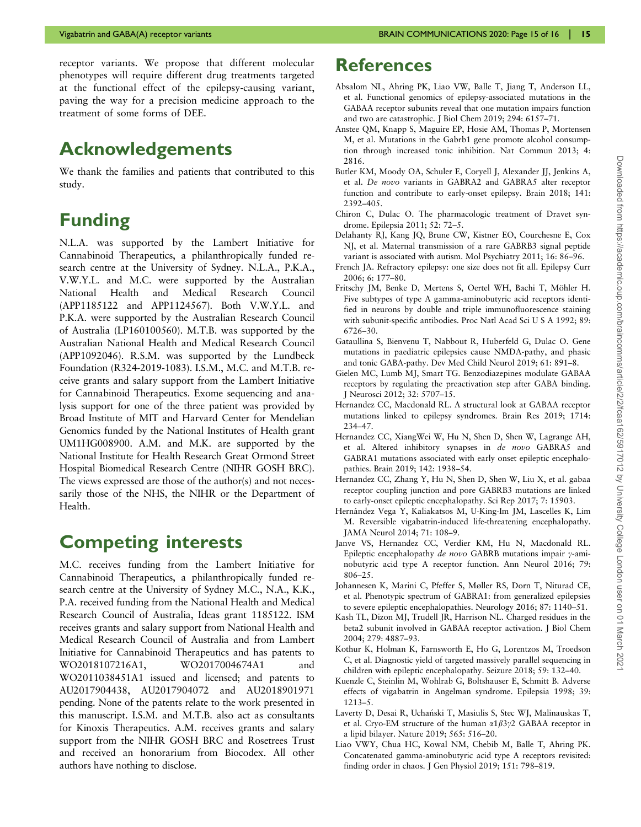<span id="page-14-0"></span>receptor variants. We propose that different molecular phenotypes will require different drug treatments targeted at the functional effect of the epilepsy-causing variant, paving the way for a precision medicine approach to the treatment of some forms of DEE.

## Acknowledgements

We thank the families and patients that contributed to this study.

## Funding

N.L.A. was supported by the Lambert Initiative for Cannabinoid Therapeutics, a philanthropically funded research centre at the University of Sydney. N.L.A., P.K.A., V.W.Y.L. and M.C. were supported by the Australian National Health and Medical Research Council (APP1185122 and APP1124567). Both V.W.Y.L. and P.K.A. were supported by the Australian Research Council of Australia (LP160100560). M.T.B. was supported by the Australian National Health and Medical Research Council (APP1092046). R.S.M. was supported by the Lundbeck Foundation (R324-2019-1083). I.S.M., M.C. and M.T.B. receive grants and salary support from the Lambert Initiative for Cannabinoid Therapeutics. Exome sequencing and analysis support for one of the three patient was provided by Broad Institute of MIT and Harvard Center for Mendelian Genomics funded by the National Institutes of Health grant UM1HG008900. A.M. and M.K. are supported by the National Institute for Health Research Great Ormond Street Hospital Biomedical Research Centre (NIHR GOSH BRC). The views expressed are those of the author(s) and not necessarily those of the NHS, the NIHR or the Department of Health.

## Competing interests

M.C. receives funding from the Lambert Initiative for Cannabinoid Therapeutics, a philanthropically funded research centre at the University of Sydney M.C., N.A., K.K., P.A. received funding from the National Health and Medical Research Council of Australia, Ideas grant 1185122. ISM receives grants and salary support from National Health and Medical Research Council of Australia and from Lambert Initiative for Cannabinoid Therapeutics and has patents to WO2018107216A1, WO2017004674A1 and WO2011038451A1 issued and licensed; and patents to AU2017904438, AU2017904072 and AU2018901971 pending. None of the patents relate to the work presented in this manuscript. I.S.M. and M.T.B. also act as consultants for Kinoxis Therapeutics. A.M. receives grants and salary support from the NIHR GOSH BRC and Rosetrees Trust and received an honorarium from Biocodex. All other authors have nothing to disclose.

## **References**

- Absalom NL, Ahring PK, Liao VW, Balle T, Jiang T, Anderson LL, et al. Functional genomics of epilepsy-associated mutations in the GABAA receptor subunits reveal that one mutation impairs function and two are catastrophic. J Biol Chem 2019; 294: 6157–71.
- Anstee QM, Knapp S, Maguire EP, Hosie AM, Thomas P, Mortensen M, et al. Mutations in the Gabrb1 gene promote alcohol consumption through increased tonic inhibition. Nat Commun 2013; 4: 2816.
- Butler KM, Moody OA, Schuler E, Coryell J, Alexander JJ, Jenkins A, et al. De novo variants in GABRA2 and GABRA5 alter receptor function and contribute to early-onset epilepsy. Brain 2018; 141: 2392–405.
- Chiron C, Dulac O. The pharmacologic treatment of Dravet syndrome. Epilepsia 2011; 52: 72–5.
- Delahanty RJ, Kang JQ, Brune CW, Kistner EO, Courchesne E, Cox NJ, et al. Maternal transmission of a rare GABRB3 signal peptide variant is associated with autism. Mol Psychiatry 2011; 16: 86–96.
- French JA. Refractory epilepsy: one size does not fit all. Epilepsy Curr 2006; 6: 177–80.
- Fritschy JM, Benke D, Mertens S, Oertel WH, Bachi T, Möhler H. Five subtypes of type A gamma-aminobutyric acid receptors identified in neurons by double and triple immunofluorescence staining with subunit-specific antibodies. Proc Natl Acad Sci U S A 1992; 89: 6726–30.
- Gataullina S, Bienvenu T, Nabbout R, Huberfeld G, Dulac O. Gene mutations in paediatric epilepsies cause NMDA-pathy, and phasic and tonic GABA-pathy. Dev Med Child Neurol 2019; 61: 891–8.
- Gielen MC, Lumb MJ, Smart TG. Benzodiazepines modulate GABAA receptors by regulating the preactivation step after GABA binding. J Neurosci 2012; 32: 5707–15.
- Hernandez CC, Macdonald RL. A structural look at GABAA receptor mutations linked to epilepsy syndromes. Brain Res 2019; 1714: 234–47.
- Hernandez CC, XiangWei W, Hu N, Shen D, Shen W, Lagrange AH, et al. Altered inhibitory synapses in de novo GABRA5 and GABRA1 mutations associated with early onset epileptic encephalopathies. Brain 2019; 142: 1938–54.
- Hernandez CC, Zhang Y, Hu N, Shen D, Shen W, Liu X, et al. gabaa receptor coupling junction and pore GABRB3 mutations are linked to early-onset epileptic encephalopathy. Sci Rep 2017; 7: 15903.
- Hernández Vega Y, Kaliakatsos M, U-King-Im JM, Lascelles K, Lim M. Reversible vigabatrin-induced life-threatening encephalopathy. JAMA Neurol 2014; 71: 108–9.
- Janve VS, Hernandez CC, Verdier KM, Hu N, Macdonald RL. Epileptic encephalopathy de novo GABRB mutations impair  $\gamma$ -aminobutyric acid type A receptor function. Ann Neurol 2016; 79: 806–25.
- Johannesen K, Marini C, Pfeffer S, Møller RS, Dorn T, Niturad CE, et al. Phenotypic spectrum of GABRA1: from generalized epilepsies to severe epileptic encephalopathies. Neurology 2016; 87: 1140–51.
- Kash TL, Dizon MJ, Trudell JR, Harrison NL. Charged residues in the beta2 subunit involved in GABAA receptor activation. J Biol Chem 2004; 279: 4887–93.
- Kothur K, Holman K, Farnsworth E, Ho G, Lorentzos M, Troedson C, et al. Diagnostic yield of targeted massively parallel sequencing in children with epileptic encephalopathy. Seizure 2018; 59: 132–40.
- Kuenzle C, Steinlin M, Wohlrab G, Boltshauser E, Schmitt B. Adverse effects of vigabatrin in Angelman syndrome. Epilepsia 1998; 39: 1213–5.
- Laverty D, Desai R, Uchański T, Masiulis S, Stec WJ, Malinauskas T, et al. Cryo-EM structure of the human  $\alpha$ 1 $\beta$ 3 $\gamma$ 2 GABAA receptor in a lipid bilayer. Nature 2019; 565: 516–20.
- Liao VWY, Chua HC, Kowal NM, Chebib M, Balle T, Ahring PK. Concatenated gamma-aminobutyric acid type A receptors revisited: finding order in chaos. J Gen Physiol 2019; 151: 798–819.